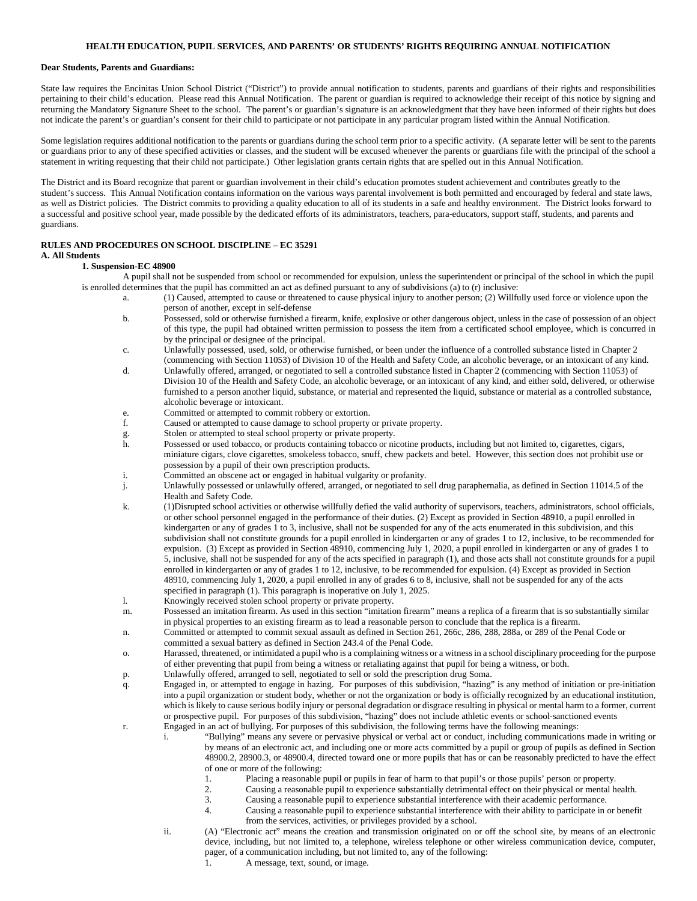#### **HEALTH EDUCATION, PUPIL SERVICES, AND PARENTS' OR STUDENTS' RIGHTS REQUIRING ANNUAL NOTIFICATION**

#### **Dear Students, Parents and Guardians:**

State law requires the Encinitas Union School District ("District") to provide annual notification to students, parents and guardians of their rights and responsibilities pertaining to their child's education. Please read this Annual Notification. The parent or guardian is required to acknowledge their receipt of this notice by signing and returning the Mandatory Signature Sheet to the school. The parent's or guardian's signature is an acknowledgment that they have been informed of their rights but does not indicate the parent's or guardian's consent for their child to participate or not participate in any particular program listed within the Annual Notification.

Some legislation requires additional notification to the parents or guardians during the school term prior to a specific activity. (A separate letter will be sent to the parents or guardians prior to any of these specified activities or classes, and the student will be excused whenever the parents or guardians file with the principal of the school a statement in writing requesting that their child not participate.) Other legislation grants certain rights that are spelled out in this Annual Notification.

The District and its Board recognize that parent or guardian involvement in their child's education promotes student achievement and contributes greatly to the student's success. This Annual Notification contains information on the various ways parental involvement is both permitted and encouraged by federal and state laws, as well as District policies. The District commits to providing a quality education to all of its students in a safe and healthy environment. The District looks forward to a successful and positive school year, made possible by the dedicated efforts of its administrators, teachers, para-educators, support staff, students, and parents and guardians.

### **RULES AND PROCEDURES ON SCHOOL DISCIPLINE – EC 35291**

# **A. All Students**

#### **1. Suspension-EC 48900**

- A pupil shall not be suspended from school or recommended for expulsion, unless the superintendent or principal of the school in which the pupil is enrolled determines that the pupil has committed an act as defined pursuant to any of subdivisions (a) to (r) inclusive:
	- a. (1) Caused, attempted to cause or threatened to cause physical injury to another person; (2) Willfully used force or violence upon the person of another, except in self-defense
	- b. Possessed, sold or otherwise furnished a firearm, knife, explosive or other dangerous object, unless in the case of possession of an object of this type, the pupil had obtained written permission to possess the item from a certificated school employee, which is concurred in by the principal or designee of the principal.
	- c. Unlawfully possessed, used, sold, or otherwise furnished, or been under the influence of a controlled substance listed in Chapter 2 (commencing with Section 11053) of Division 10 of the Health and Safety Code, an alcoholic beverage, or an intoxicant of any kind.
	- d. Unlawfully offered, arranged, or negotiated to sell a controlled substance listed in Chapter 2 (commencing with Section 11053) of Division 10 of the Health and Safety Code, an alcoholic beverage, or an intoxicant of any kind, and either sold, delivered, or otherwise furnished to a person another liquid, substance, or material and represented the liquid, substance or material as a controlled substance, alcoholic beverage or intoxicant.
	- e. Committed or attempted to commit robbery or extortion.
	- f. Caused or attempted to cause damage to school property or private property.
	- g. Stolen or attempted to steal school property or private property.<br>
	h. Possessed or used tobacco, or products containing tobacco or ni
	- Possessed or used tobacco, or products containing tobacco or nicotine products, including but not limited to, cigarettes, cigars, miniature cigars, clove cigarettes, smokeless tobacco, snuff, chew packets and betel. However, this section does not prohibit use or possession by a pupil of their own prescription products.
	- i. Committed an obscene act or engaged in habitual vulgarity or profanity.
	- j. Unlawfully possessed or unlawfully offered, arranged, or negotiated to sell drug paraphernalia, as defined in Section 11014.5 of the Health and Safety Code.
	- k. (1)Disrupted school activities or otherwise willfully defied the valid authority of supervisors, teachers, administrators, school officials, or other school personnel engaged in the performance of their duties. (2) Except as provided in Section 48910, a pupil enrolled in kindergarten or any of grades 1 to 3, inclusive, shall not be suspended for any of the acts enumerated in this subdivision, and this subdivision shall not constitute grounds for a pupil enrolled in kindergarten or any of grades 1 to 12, inclusive, to be recommended for expulsion. (3) Except as provided in Section 48910, commencing July 1, 2020, a pupil enrolled in kindergarten or any of grades 1 to 5, inclusive, shall not be suspended for any of the acts specified in paragraph (1), and those acts shall not constitute grounds for a pupil enrolled in kindergarten or any of grades 1 to 12, inclusive, to be recommended for expulsion. (4) Except as provided in Section 48910, commencing July 1, 2020, a pupil enrolled in any of grades 6 to 8, inclusive, shall not be suspended for any of the acts specified in paragraph (1). This paragraph is inoperative on July 1, 2025.
	- l. Knowingly received stolen school property or private property.
	- m. Possessed an imitation firearm. As used in this section "imitation firearm" means a replica of a firearm that is so substantially similar in physical properties to an existing firearm as to lead a reasonable person to conclude that the replica is a firearm.
	- n. Committed or attempted to commit sexual assault as defined in Section 261, 266c, 286, 288, 288a, or 289 of the Penal Code or committed a sexual battery as defined in Section 243.4 of the Penal Code.
	- o. Harassed, threatened, or intimidated a pupil who is a complaining witness or a witness in a school disciplinary proceeding for the purpose of either preventing that pupil from being a witness or retaliating against that pupil for being a witness, or both.
	- p. Unlawfully offered, arranged to sell, negotiated to sell or sold the prescription drug Soma.
	- q. Engaged in, or attempted to engage in hazing. For purposes of this subdivision, "hazing" is any method of initiation or pre-initiation into a pupil organization or student body, whether or not the organization or body is officially recognized by an educational institution, which is likely to cause serious bodily injury or personal degradation or disgrace resulting in physical or mental harm to a former, current or prospective pupil. For purposes of this subdivision, "hazing" does not include athletic events or school-sanctioned events
	- r. Engaged in an act of bullying. For purposes of this subdivision, the following terms have the following meanings:
		- i. "Bullying" means any severe or pervasive physical or verbal act or conduct, including communications made in writing or by means of an electronic act, and including one or more acts committed by a pupil or group of pupils as defined in Section 48900.2, 28900.3, or 48900.4, directed toward one or more pupils that has or can be reasonably predicted to have the effect of one or more of the following:
			- 1. Placing a reasonable pupil or pupils in fear of harm to that pupil's or those pupils' person or property.
			- 2. Causing a reasonable pupil to experience substantially detrimental effect on their physical or mental health.<br>3. Causing a reasonable pupil to experience substantial interference with their academic performance.
			- Causing a reasonable pupil to experience substantial interference with their academic performance.
			- 4. Causing a reasonable pupil to experience substantial interference with their ability to participate in or benefit from the services, activities, or privileges provided by a school.
		- ii. (A) "Electronic act" means the creation and transmission originated on or off the school site, by means of an electronic device, including, but not limited to, a telephone, wireless telephone or other wireless communication device, computer, pager, of a communication including, but not limited to, any of the following:
			- 1. A message, text, sound, or image.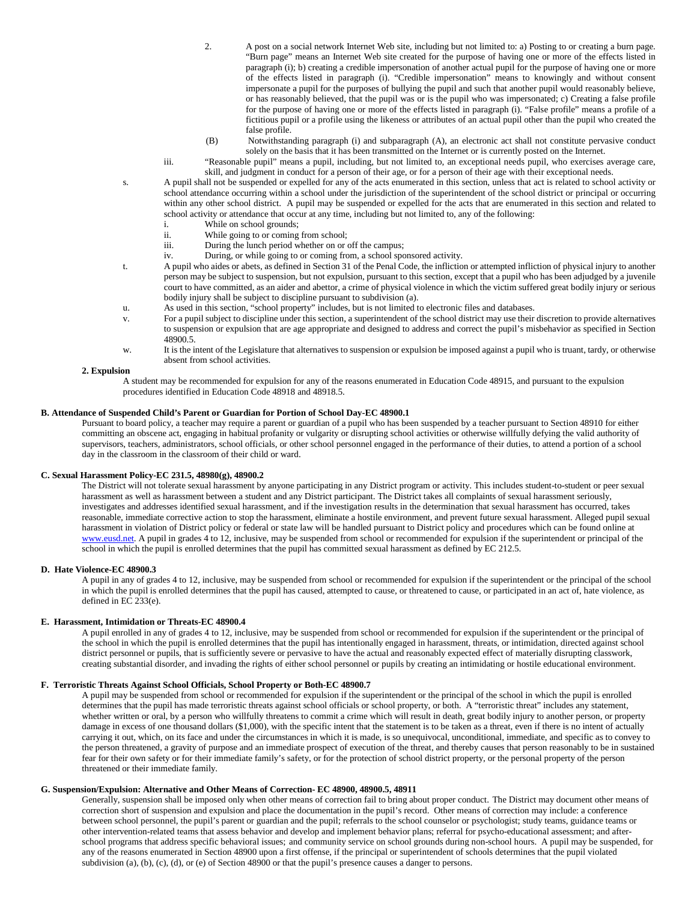- 2. A post on a social network Internet Web site, including but not limited to: a) Posting to or creating a burn page. "Burn page" means an Internet Web site created for the purpose of having one or more of the effects listed in paragraph (i); b) creating a credible impersonation of another actual pupil for the purpose of having one or more of the effects listed in paragraph (i). "Credible impersonation" means to knowingly and without consent impersonate a pupil for the purposes of bullying the pupil and such that another pupil would reasonably believe, or has reasonably believed, that the pupil was or is the pupil who was impersonated; c) Creating a false profile for the purpose of having one or more of the effects listed in paragraph (i). "False profile" means a profile of a fictitious pupil or a profile using the likeness or attributes of an actual pupil other than the pupil who created the false profile.
- (B) Notwithstanding paragraph (i) and subparagraph (A), an electronic act shall not constitute pervasive conduct solely on the basis that it has been transmitted on the Internet or is currently posted on the Internet.
- iii. "Reasonable pupil" means a pupil, including, but not limited to, an exceptional needs pupil, who exercises average care, skill, and judgment in conduct for a person of their age, or for a person of their age with their exceptional needs.
- s. A pupil shall not be suspended or expelled for any of the acts enumerated in this section, unless that act is related to school activity or school attendance occurring within a school under the jurisdiction of the superintendent of the school district or principal or occurring within any other school district. A pupil may be suspended or expelled for the acts that are enumerated in this section and related to school activity or attendance that occur at any time, including but not limited to, any of the following:
	- i. While on school grounds;
	- ii. While going to or coming from school;
	- iii. During the lunch period whether on or off the campus;
	- iv. During, or while going to or coming from, a school sponsored activity.
- t. A pupil who aides or abets, as defined in Section 31 of the Penal Code, the infliction or attempted infliction of physical injury to another person may be subject to suspension, but not expulsion, pursuant to this section, except that a pupil who has been adjudged by a juvenile court to have committed, as an aider and abettor, a crime of physical violence in which the victim suffered great bodily injury or serious bodily injury shall be subject to discipline pursuant to subdivision (a).
- u. As used in this section, "school property" includes, but is not limited to electronic files and databases.
- v. For a pupil subject to discipline under this section, a superintendent of the school district may use their discretion to provide alternatives to suspension or expulsion that are age appropriate and designed to address and correct the pupil's misbehavior as specified in Section 48900.5.
- w. It is the intent of the Legislature that alternatives to suspension or expulsion be imposed against a pupil who is truant, tardy, or otherwise absent from school activities.

#### **2. Expulsion**

A student may be recommended for expulsion for any of the reasons enumerated in Education Code 48915, and pursuant to the expulsion procedures identified in Education Code 48918 and 48918.5.

# **B. Attendance of Suspended Child's Parent or Guardian for Portion of School Day-EC 48900.1**

Pursuant to board policy, a teacher may require a parent or guardian of a pupil who has been suspended by a teacher pursuant to Section 48910 for either committing an obscene act, engaging in habitual profanity or vulgarity or disrupting school activities or otherwise willfully defying the valid authority of supervisors, teachers, administrators, school officials, or other school personnel engaged in the performance of their duties, to attend a portion of a school day in the classroom in the classroom of their child or ward.

### **C. Sexual Harassment Policy-EC 231.5, 48980(g), 48900.2**

The District will not tolerate sexual harassment by anyone participating in any District program or activity. This includes student-to-student or peer sexual harassment as well as harassment between a student and any District participant. The District takes all complaints of sexual harassment seriously, investigates and addresses identified sexual harassment, and if the investigation results in the determination that sexual harassment has occurred, takes reasonable, immediate corrective action to stop the harassment, eliminate a hostile environment, and prevent future sexual harassment. Alleged pupil sexual harassment in violation of District policy or federal or state law will be handled pursuant to District policy and procedures which can be found online at [www.eusd.net.](http://www.eusd.net/) A pupil in grades 4 to 12, inclusive, may be suspended from school or recommended for expulsion if the superintendent or principal of the school in which the pupil is enrolled determines that the pupil has committed sexual harassment as defined by EC 212.5.

#### **D. Hate Violence-EC 48900.3**

A pupil in any of grades 4 to 12, inclusive, may be suspended from school or recommended for expulsion if the superintendent or the principal of the school in which the pupil is enrolled determines that the pupil has caused, attempted to cause, or threatened to cause, or participated in an act of, hate violence, as defined in EC 233(e).

#### **E. Harassment, Intimidation or Threats-EC 48900.4**

A pupil enrolled in any of grades 4 to 12, inclusive, may be suspended from school or recommended for expulsion if the superintendent or the principal of the school in which the pupil is enrolled determines that the pupil has intentionally engaged in harassment, threats, or intimidation, directed against school district personnel or pupils, that is sufficiently severe or pervasive to have the actual and reasonably expected effect of materially disrupting classwork, creating substantial disorder, and invading the rights of either school personnel or pupils by creating an intimidating or hostile educational environment.

#### **F. Terroristic Threats Against School Officials, School Property or Both-EC 48900.7**

A pupil may be suspended from school or recommended for expulsion if the superintendent or the principal of the school in which the pupil is enrolled determines that the pupil has made terroristic threats against school officials or school property, or both. A "terroristic threat" includes any statement, whether written or oral, by a person who willfully threatens to commit a crime which will result in death, great bodily injury to another person, or property damage in excess of one thousand dollars (\$1,000), with the specific intent that the statement is to be taken as a threat, even if there is no intent of actually carrying it out, which, on its face and under the circumstances in which it is made, is so unequivocal, unconditional, immediate, and specific as to convey to the person threatened, a gravity of purpose and an immediate prospect of execution of the threat, and thereby causes that person reasonably to be in sustained fear for their own safety or for their immediate family's safety, or for the protection of school district property, or the personal property of the person threatened or their immediate family.

#### **G. Suspension/Expulsion: Alternative and Other Means of Correction- EC 48900, 48900.5, 48911**

Generally, suspension shall be imposed only when other means of correction fail to bring about proper conduct. The District may document other means of correction short of suspension and expulsion and place the documentation in the pupil's record. Other means of correction may include: a conference between school personnel, the pupil's parent or guardian and the pupil; referrals to the school counselor or psychologist; study teams, guidance teams or other intervention-related teams that assess behavior and develop and implement behavior plans; referral for psycho-educational assessment; and afterschool programs that address specific behavioral issues; and community service on school grounds during non-school hours. A pupil may be suspended, for any of the reasons enumerated in Section 48900 upon a first offense, if the principal or superintendent of schools determines that the pupil violated subdivision (a), (b), (c), (d), or (e) of Section 48900 or that the pupil's presence causes a danger to persons.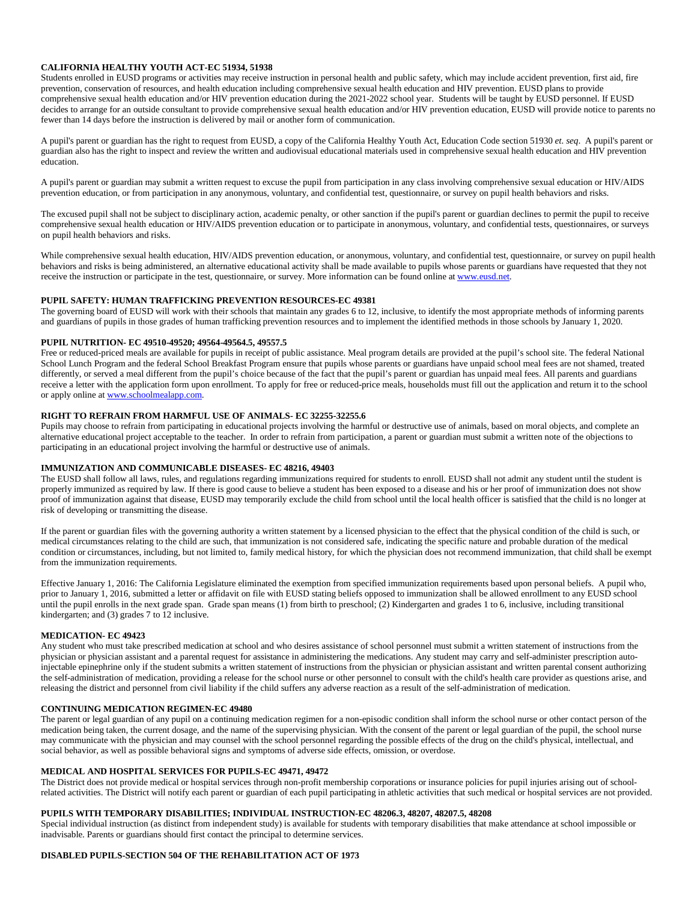## **CALIFORNIA HEALTHY YOUTH ACT-EC 51934, 51938**

Students enrolled in EUSD programs or activities may receive instruction in personal health and public safety, which may include accident prevention, first aid, fire prevention, conservation of resources, and health education including comprehensive sexual health education and HIV prevention. EUSD plans to provide comprehensive sexual health education and/or HIV prevention education during the 2021-2022 school year. Students will be taught by EUSD personnel. If EUSD decides to arrange for an outside consultant to provide comprehensive sexual health education and/or HIV prevention education, EUSD will provide notice to parents no fewer than 14 days before the instruction is delivered by mail or another form of communication.

A pupil's parent or guardian has the right to request from EUSD, a copy of the California Healthy Youth Act, Education Code section 51930 *et. seq*. A pupil's parent or guardian also has the right to inspect and review the written and audiovisual educational materials used in comprehensive sexual health education and HIV prevention education.

A pupil's parent or guardian may submit a written request to excuse the pupil from participation in any class involving comprehensive sexual education or HIV/AIDS prevention education, or from participation in any anonymous, voluntary, and confidential test, questionnaire, or survey on pupil health behaviors and risks.

The excused pupil shall not be subject to disciplinary action, academic penalty, or other sanction if the pupil's parent or guardian declines to permit the pupil to receive comprehensive sexual health education or HIV/AIDS prevention education or to participate in anonymous, voluntary, and confidential tests, questionnaires, or surveys on pupil health behaviors and risks.

While comprehensive sexual health education, HIV/AIDS prevention education, or anonymous, voluntary, and confidential test, questionnaire, or survey on pupil health behaviors and risks is being administered, an alternative educational activity shall be made available to pupils whose parents or guardians have requested that they not receive the instruction or participate in the test, questionnaire, or survey. More information can be found online a[t www.eusd.net.](http://www.eusd.net/)

### **PUPIL SAFETY: HUMAN TRAFFICKING PREVENTION RESOURCES-EC 49381**

The governing board of EUSD will work with their schools that maintain any grades 6 to 12, inclusive, to identify the most appropriate methods of informing parents and guardians of pupils in those grades of human trafficking prevention resources and to implement the identified methods in those schools by January 1, 2020.

#### **PUPIL NUTRITION- EC 49510-49520; 49564-49564.5, 49557.5**

Free or reduced-priced meals are available for pupils in receipt of public assistance. Meal program details are provided at the pupil's school site. The federal National School Lunch Program and the federal School Breakfast Program ensure that pupils whose parents or guardians have unpaid school meal fees are not shamed, treated differently, or served a meal different from the pupil's choice because of the fact that the pupil's parent or guardian has unpaid meal fees. All parents and guardians receive a letter with the application form upon enrollment. To apply for free or reduced-price meals, households must fill out the application and return it to the school or apply online at www.schoolmealapp.com.

### **RIGHT TO REFRAIN FROM HARMFUL USE OF ANIMALS- EC 32255-32255.6**

Pupils may choose to refrain from participating in educational projects involving the harmful or destructive use of animals, based on moral objects, and complete an alternative educational project acceptable to the teacher. In order to refrain from participation, a parent or guardian must submit a written note of the objections to participating in an educational project involving the harmful or destructive use of animals.

#### **IMMUNIZATION AND COMMUNICABLE DISEASES- EC 48216, 49403**

The EUSD shall follow all laws, rules, and regulations regarding immunizations required for students to enroll. EUSD shall not admit any student until the student is properly immunized as required by law. If there is good cause to believe a student has been exposed to a disease and his or her proof of immunization does not show proof of immunization against that disease, EUSD may temporarily exclude the child from school until the local health officer is satisfied that the child is no longer at risk of developing or transmitting the disease.

If the parent or guardian files with the governing authority a written statement by a licensed physician to the effect that the physical condition of the child is such, or medical circumstances relating to the child are such, that immunization is not considered safe, indicating the specific nature and probable duration of the medical condition or circumstances, including, but not limited to, family medical history, for which the physician does not recommend immunization, that child shall be exempt from the immunization requirements.

Effective January 1, 2016: The California Legislature eliminated the exemption from specified immunization requirements based upon personal beliefs. A pupil who, prior to January 1, 2016, submitted a letter or affidavit on file with EUSD stating beliefs opposed to immunization shall be allowed enrollment to any EUSD school until the pupil enrolls in the next grade span. Grade span means (1) from birth to preschool; (2) Kindergarten and grades 1 to 6, inclusive, including transitional kindergarten; and (3) grades 7 to 12 inclusive.

#### **MEDICATION- EC 49423**

Any student who must take prescribed medication at school and who desires assistance of school personnel must submit a written statement of instructions from the physician or physician assistant and a parental request for assistance in administering the medications. Any student may carry and self-administer prescription autoinjectable epinephrine only if the student submits a written statement of instructions from the physician or physician assistant and written parental consent authorizing the self-administration of medication, providing a release for the school nurse or other personnel to consult with the child's health care provider as questions arise, and releasing the district and personnel from civil liability if the child suffers any adverse reaction as a result of the self-administration of medication.

#### **CONTINUING MEDICATION REGIMEN-EC 49480**

The parent or legal guardian of any pupil on a continuing medication regimen for a non-episodic condition shall inform the school nurse or other contact person of the medication being taken, the current dosage, and the name of the supervising physician. With the consent of the parent or legal guardian of the pupil, the school nurse may communicate with the physician and may counsel with the school personnel regarding the possible effects of the drug on the child's physical, intellectual, and social behavior, as well as possible behavioral signs and symptoms of adverse side effects, omission, or overdose.

#### **MEDICAL AND HOSPITAL SERVICES FOR PUPILS-EC 49471, 49472**

The District does not provide medical or hospital services through non-profit membership corporations or insurance policies for pupil injuries arising out of schoolrelated activities. The District will notify each parent or guardian of each pupil participating in athletic activities that such medical or hospital services are not provided.

### **PUPILS WITH TEMPORARY DISABILITIES; INDIVIDUAL INSTRUCTION-EC 48206.3, 48207, 48207.5, 48208**

Special individual instruction (as distinct from independent study) is available for students with temporary disabilities that make attendance at school impossible or inadvisable. Parents or guardians should first contact the principal to determine services.

#### **DISABLED PUPILS-SECTION 504 OF THE REHABILITATION ACT OF 1973**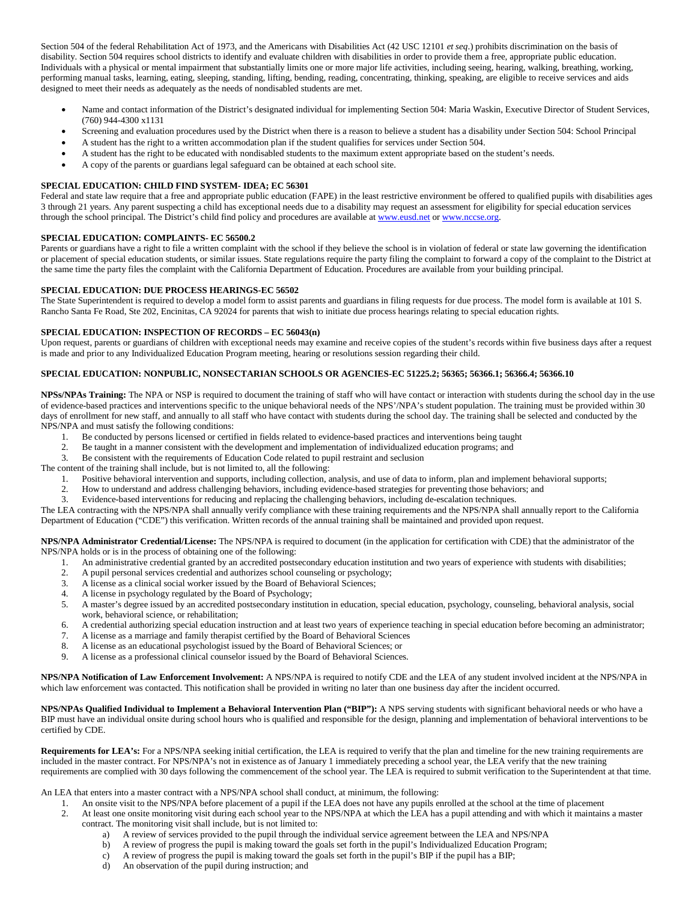Section 504 of the federal Rehabilitation Act of 1973, and the Americans with Disabilities Act (42 USC 12101 *et seq.*) prohibits discrimination on the basis of disability. Section 504 requires school districts to identify and evaluate children with disabilities in order to provide them a free, appropriate public education. Individuals with a physical or mental impairment that substantially limits one or more major life activities, including seeing, hearing, walking, breathing, working, performing manual tasks, learning, eating, sleeping, standing, lifting, bending, reading, concentrating, thinking, speaking, are eligible to receive services and aids designed to meet their needs as adequately as the needs of nondisabled students are met.

- Name and contact information of the District's designated individual for implementing Section 504: Maria Waskin, Executive Director of Student Services, (760) 944-4300 x1131
- Screening and evaluation procedures used by the District when there is a reason to believe a student has a disability under Section 504: School Principal
- A student has the right to a written accommodation plan if the student qualifies for services under Section 504. • A student has the right to be educated with nondisabled students to the maximum extent appropriate based on the student's needs.
- A copy of the parents or guardians legal safeguard can be obtained at each school site.

### **SPECIAL EDUCATION: CHILD FIND SYSTEM- IDEA; EC 56301**

Federal and state law require that a free and appropriate public education (FAPE) in the least restrictive environment be offered to qualified pupils with disabilities ages 3 through 21 years. Any parent suspecting a child has exceptional needs due to a disability may request an assessment for eligibility for special education services through the school principal. The District's child find policy and procedures are available a[t www.eusd.net](http://www.eusd.net/) or www.nccse.org.

## **SPECIAL EDUCATION: COMPLAINTS- EC 56500.2**

Parents or guardians have a right to file a written complaint with the school if they believe the school is in violation of federal or state law governing the identification or placement of special education students, or similar issues. State regulations require the party filing the complaint to forward a copy of the complaint to the District at the same time the party files the complaint with the California Department of Education. Procedures are available from your building principal.

### **SPECIAL EDUCATION: DUE PROCESS HEARINGS-EC 56502**

The State Superintendent is required to develop a model form to assist parents and guardians in filing requests for due process. The model form is available at 101 S. Rancho Santa Fe Road, Ste 202, Encinitas, CA 92024 for parents that wish to initiate due process hearings relating to special education rights.

# **SPECIAL EDUCATION: INSPECTION OF RECORDS – EC 56043(n)**

Upon request, parents or guardians of children with exceptional needs may examine and receive copies of the student's records within five business days after a request is made and prior to any Individualized Education Program meeting, hearing or resolutions session regarding their child.

# **SPECIAL EDUCATION: NONPUBLIC, NONSECTARIAN SCHOOLS OR AGENCIES-EC 51225.2; 56365; 56366.1; 56366.4; 56366.10**

**NPSs/NPAs Training:** The NPA or NSP is required to document the training of staff who will have contact or interaction with students during the school day in the use of evidence-based practices and interventions specific to the unique behavioral needs of the NPS'/NPA's student population. The training must be provided within 30 days of enrollment for new staff, and annually to all staff who have contact with students during the school day. The training shall be selected and conducted by the NPS/NPA and must satisfy the following conditions:

- 1. Be conducted by persons licensed or certified in fields related to evidence-based practices and interventions being taught
- 2. Be taught in a manner consistent with the development and implementation of individualized education programs; and<br>3. Be consistent with the requirements of Education Code related to pupil restraint and seclusion
- Be consistent with the requirements of Education Code related to pupil restraint and seclusion

The content of the training shall include, but is not limited to, all the following:

- 1. Positive behavioral intervention and supports, including collection, analysis, and use of data to inform, plan and implement behavioral supports;
- 2. How to understand and address challenging behaviors, including evidence-based strategies for preventing those behaviors; and
- 3. Evidence-based interventions for reducing and replacing the challenging behaviors, including de-escalation techniques.

The LEA contracting with the NPS/NPA shall annually verify compliance with these training requirements and the NPS/NPA shall annually report to the California Department of Education ("CDE") this verification. Written records of the annual training shall be maintained and provided upon request.

**NPS/NPA Administrator Credential/License:** The NPS/NPA is required to document (in the application for certification with CDE) that the administrator of the NPS/NPA holds or is in the process of obtaining one of the following:

- 1. An administrative credential granted by an accredited postsecondary education institution and two years of experience with students with disabilities;
- 
- 2. A pupil personal services credential and authorizes school counseling or psychology;<br>
3. A license as a clinical social worker issued by the Board of Behavioral Sciences; A license as a clinical social worker issued by the Board of Behavioral Sciences;
- 4. A license in psychology regulated by the Board of Psychology;
- 5. A master's degree issued by an accredited postsecondary institution in education, special education, psychology, counseling, behavioral analysis, social work, behavioral science, or rehabilitation;
- 6. A credential authorizing special education instruction and at least two years of experience teaching in special education before becoming an administrator;
- 7. A license as a marriage and family therapist certified by the Board of Behavioral Sciences
- 8. A license as an educational psychologist issued by the Board of Behavioral Sciences; or
- 9. A license as a professional clinical counselor issued by the Board of Behavioral Sciences.

**NPS/NPA Notification of Law Enforcement Involvement:** A NPS/NPA is required to notify CDE and the LEA of any student involved incident at the NPS/NPA in which law enforcement was contacted. This notification shall be provided in writing no later than one business day after the incident occurred.

**NPS/NPAs Qualified Individual to Implement a Behavioral Intervention Plan ("BIP"):** A NPS serving students with significant behavioral needs or who have a BIP must have an individual onsite during school hours who is qualified and responsible for the design, planning and implementation of behavioral interventions to be certified by CDE.

**Requirements for LEA's:** For a NPS/NPA seeking initial certification, the LEA is required to verify that the plan and timeline for the new training requirements are included in the master contract. For NPS/NPA's not in existence as of January 1 immediately preceding a school year, the LEA verify that the new training requirements are complied with 30 days following the commencement of the school year. The LEA is required to submit verification to the Superintendent at that time.

An LEA that enters into a master contract with a NPS/NPA school shall conduct, at minimum, the following:

- 1. An onsite visit to the NPS/NPA before placement of a pupil if the LEA does not have any pupils enrolled at the school at the time of placement
- 2. At least one onsite monitoring visit during each school year to the NPS/NPA at which the LEA has a pupil attending and with which it maintains a master contract. The monitoring visit shall include, but is not limited to:
	- a) A review of services provided to the pupil through the individual service agreement between the LEA and NPS/NPA
	- b) A review of progress the pupil is making toward the goals set forth in the pupil's Individualized Education Program;
	- c) A review of progress the pupil is making toward the goals set forth in the pupil's BIP if the pupil has a BIP;
	- d) An observation of the pupil during instruction; and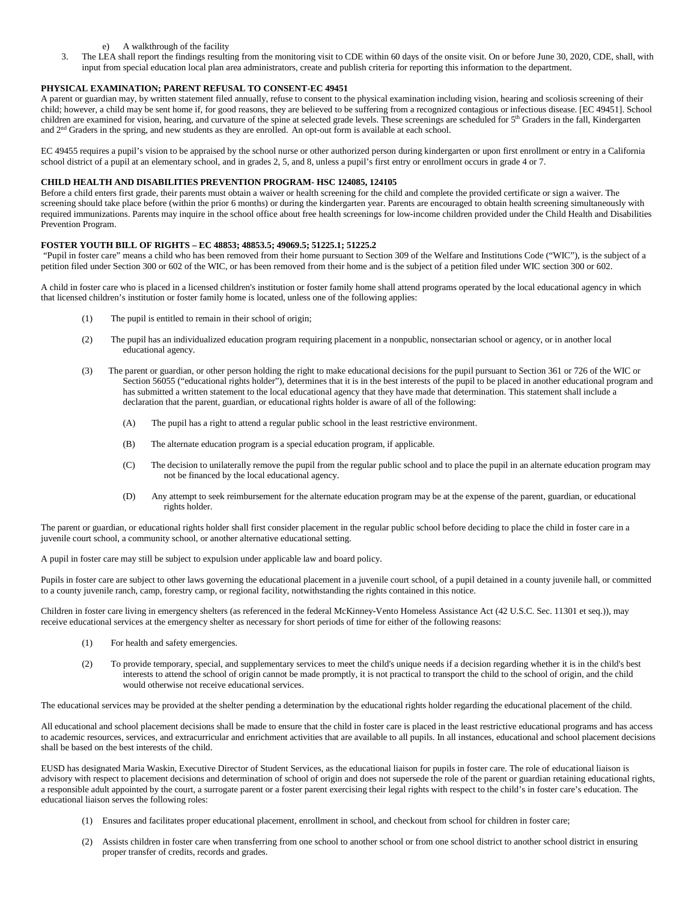- e) A walkthrough of the facility
- The LEA shall report the findings resulting from the monitoring visit to CDE within 60 days of the onsite visit. On or before June 30, 2020, CDE, shall, with input from special education local plan area administrators, create and publish criteria for reporting this information to the department.

# **PHYSICAL EXAMINATION; PARENT REFUSAL TO CONSENT-EC 49451**

A parent or guardian may, by written statement filed annually, refuse to consent to the physical examination including vision, hearing and scoliosis screening of their child; however, a child may be sent home if, for good reasons, they are believed to be suffering from a recognized contagious or infectious disease. [EC 49451]. School children are examined for vision, hearing, and curvature of the spine at selected grade levels. These screenings are scheduled for 5<sup>th</sup> Graders in the fall, Kindergarten and 2nd Graders in the spring, and new students as they are enrolled. An opt-out form is available at each school.

EC 49455 requires a pupil's vision to be appraised by the school nurse or other authorized person during kindergarten or upon first enrollment or entry in a California school district of a pupil at an elementary school, and in grades 2, 5, and 8, unless a pupil's first entry or enrollment occurs in grade 4 or 7.

# **CHILD HEALTH AND DISABILITIES PREVENTION PROGRAM- HSC 124085, 124105**

Before a child enters first grade, their parents must obtain a waiver or health screening for the child and complete the provided certificate or sign a waiver. The screening should take place before (within the prior 6 months) or during the kindergarten year. Parents are encouraged to obtain health screening simultaneously with required immunizations. Parents may inquire in the school office about free health screenings for low-income children provided under the Child Health and Disabilities Prevention Program.

# **FOSTER YOUTH BILL OF RIGHTS – EC 48853; 48853.5; 49069.5; 51225.1; 51225.2**

"Pupil in foster care" means a child who has been removed from their home pursuant to Section 309 of the Welfare and Institutions Code ("WIC"), is the subject of a petition filed under Section 300 or 602 of the WIC, or has been removed from their home and is the subject of a petition filed under WIC section 300 or 602.

A child in foster care who is placed in a licensed children's institution or foster family home shall attend programs operated by the local educational agency in which that licensed children's institution or foster family home is located, unless one of the following applies:

- (1) The pupil is entitled to remain in their school of origin;
- (2) The pupil has an individualized education program requiring placement in a nonpublic, nonsectarian school or agency, or in another local educational agency.
- (3) The parent or guardian, or other person holding the right to make educational decisions for the pupil pursuant to Section 361 or 726 of the WIC or Section 56055 ("educational rights holder"), determines that it is in the best interests of the pupil to be placed in another educational program and has submitted a written statement to the local educational agency that they have made that determination. This statement shall include a declaration that the parent, guardian, or educational rights holder is aware of all of the following:
	- (A) The pupil has a right to attend a regular public school in the least restrictive environment.
	- (B) The alternate education program is a special education program, if applicable.
	- (C) The decision to unilaterally remove the pupil from the regular public school and to place the pupil in an alternate education program may not be financed by the local educational agency.
	- (D) Any attempt to seek reimbursement for the alternate education program may be at the expense of the parent, guardian, or educational rights holder.

The parent or guardian, or educational rights holder shall first consider placement in the regular public school before deciding to place the child in foster care in a juvenile court school, a community school, or another alternative educational setting.

A pupil in foster care may still be subject to expulsion under applicable law and board policy.

Pupils in foster care are subject to other laws governing the educational placement in a juvenile court school, of a pupil detained in a county juvenile hall, or committed to a county juvenile ranch, camp, forestry camp, or regional facility, notwithstanding the rights contained in this notice.

Children in foster care living in emergency shelters (as referenced in the federal McKinney-Vento Homeless Assistance Act (42 U.S.C. Sec. 11301 et seq.)), may receive educational services at the emergency shelter as necessary for short periods of time for either of the following reasons:

- (1) For health and safety emergencies.
- (2) To provide temporary, special, and supplementary services to meet the child's unique needs if a decision regarding whether it is in the child's best interests to attend the school of origin cannot be made promptly, it is not practical to transport the child to the school of origin, and the child would otherwise not receive educational services.

The educational services may be provided at the shelter pending a determination by the educational rights holder regarding the educational placement of the child.

All educational and school placement decisions shall be made to ensure that the child in foster care is placed in the least restrictive educational programs and has access to academic resources, services, and extracurricular and enrichment activities that are available to all pupils. In all instances, educational and school placement decisions shall be based on the best interests of the child.

EUSD has designated Maria Waskin, Executive Director of Student Services, as the educational liaison for pupils in foster care. The role of educational liaison is advisory with respect to placement decisions and determination of school of origin and does not supersede the role of the parent or guardian retaining educational rights, a responsible adult appointed by the court, a surrogate parent or a foster parent exercising their legal rights with respect to the child's in foster care's education. The educational liaison serves the following roles:

- (1) Ensures and facilitates proper educational placement, enrollment in school, and checkout from school for children in foster care;
- (2) Assists children in foster care when transferring from one school to another school or from one school district to another school district in ensuring proper transfer of credits, records and grades.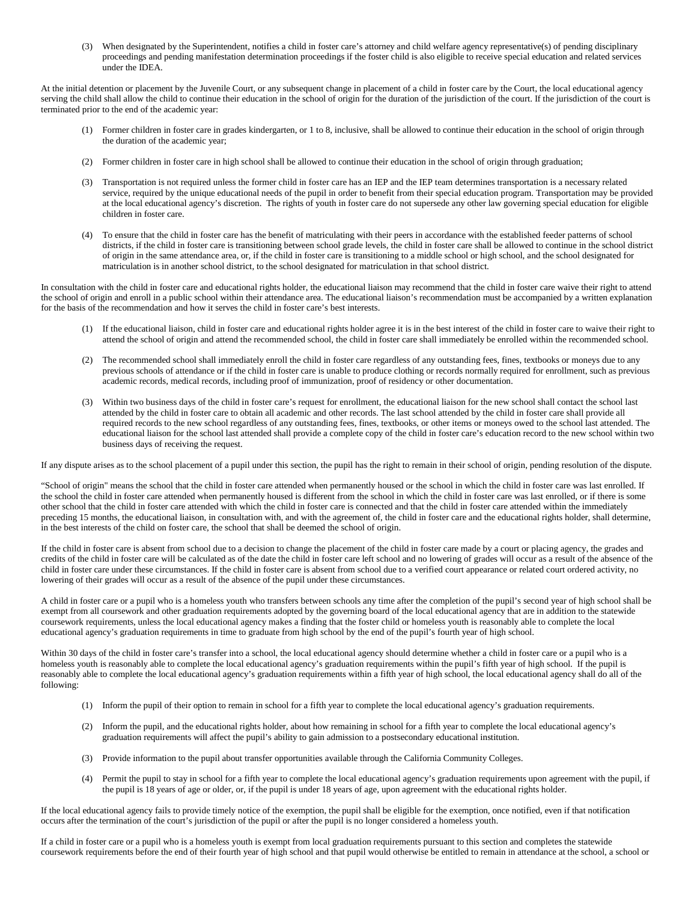(3) When designated by the Superintendent, notifies a child in foster care's attorney and child welfare agency representative(s) of pending disciplinary proceedings and pending manifestation determination proceedings if the foster child is also eligible to receive special education and related services under the IDEA.

At the initial detention or placement by the Juvenile Court, or any subsequent change in placement of a child in foster care by the Court, the local educational agency serving the child shall allow the child to continue their education in the school of origin for the duration of the jurisdiction of the court. If the jurisdiction of the court is terminated prior to the end of the academic year:

- (1) Former children in foster care in grades kindergarten, or 1 to 8, inclusive, shall be allowed to continue their education in the school of origin through the duration of the academic year;
- (2) Former children in foster care in high school shall be allowed to continue their education in the school of origin through graduation;
- (3) Transportation is not required unless the former child in foster care has an IEP and the IEP team determines transportation is a necessary related service, required by the unique educational needs of the pupil in order to benefit from their special education program. Transportation may be provided at the local educational agency's discretion. The rights of youth in foster care do not supersede any other law governing special education for eligible children in foster care.
- (4) To ensure that the child in foster care has the benefit of matriculating with their peers in accordance with the established feeder patterns of school districts, if the child in foster care is transitioning between school grade levels, the child in foster care shall be allowed to continue in the school district of origin in the same attendance area, or, if the child in foster care is transitioning to a middle school or high school, and the school designated for matriculation is in another school district, to the school designated for matriculation in that school district.

In consultation with the child in foster care and educational rights holder, the educational liaison may recommend that the child in foster care waive their right to attend the school of origin and enroll in a public school within their attendance area. The educational liaison's recommendation must be accompanied by a written explanation for the basis of the recommendation and how it serves the child in foster care's best interests.

- (1) If the educational liaison, child in foster care and educational rights holder agree it is in the best interest of the child in foster care to waive their right to attend the school of origin and attend the recommended school, the child in foster care shall immediately be enrolled within the recommended school.
- (2) The recommended school shall immediately enroll the child in foster care regardless of any outstanding fees, fines, textbooks or moneys due to any previous schools of attendance or if the child in foster care is unable to produce clothing or records normally required for enrollment, such as previous academic records, medical records, including proof of immunization, proof of residency or other documentation.
- (3) Within two business days of the child in foster care's request for enrollment, the educational liaison for the new school shall contact the school last attended by the child in foster care to obtain all academic and other records. The last school attended by the child in foster care shall provide all required records to the new school regardless of any outstanding fees, fines, textbooks, or other items or moneys owed to the school last attended. The educational liaison for the school last attended shall provide a complete copy of the child in foster care's education record to the new school within two business days of receiving the request.

If any dispute arises as to the school placement of a pupil under this section, the pupil has the right to remain in their school of origin, pending resolution of the dispute.

"School of origin" means the school that the child in foster care attended when permanently housed or the school in which the child in foster care was last enrolled. If the school the child in foster care attended when permanently housed is different from the school in which the child in foster care was last enrolled, or if there is some other school that the child in foster care attended with which the child in foster care is connected and that the child in foster care attended within the immediately preceding 15 months, the educational liaison, in consultation with, and with the agreement of, the child in foster care and the educational rights holder, shall determine, in the best interests of the child on foster care, the school that shall be deemed the school of origin.

If the child in foster care is absent from school due to a decision to change the placement of the child in foster care made by a court or placing agency, the grades and credits of the child in foster care will be calculated as of the date the child in foster care left school and no lowering of grades will occur as a result of the absence of the child in foster care under these circumstances. If the child in foster care is absent from school due to a verified court appearance or related court ordered activity, no lowering of their grades will occur as a result of the absence of the pupil under these circumstances.

A child in foster care or a pupil who is a homeless youth who transfers between schools any time after the completion of the pupil's second year of high school shall be exempt from all coursework and other graduation requirements adopted by the governing board of the local educational agency that are in addition to the statewide coursework requirements, unless the local educational agency makes a finding that the foster child or homeless youth is reasonably able to complete the local educational agency's graduation requirements in time to graduate from high school by the end of the pupil's fourth year of high school.

Within 30 days of the child in foster care's transfer into a school, the local educational agency should determine whether a child in foster care or a pupil who is a homeless youth is reasonably able to complete the local educational agency's graduation requirements within the pupil's fifth year of high school. If the pupil is reasonably able to complete the local educational agency's graduation requirements within a fifth year of high school, the local educational agency shall do all of the following:

- (1) Inform the pupil of their option to remain in school for a fifth year to complete the local educational agency's graduation requirements.
- (2) Inform the pupil, and the educational rights holder, about how remaining in school for a fifth year to complete the local educational agency's graduation requirements will affect the pupil's ability to gain admission to a postsecondary educational institution.
- (3) Provide information to the pupil about transfer opportunities available through the California Community Colleges.
- (4) Permit the pupil to stay in school for a fifth year to complete the local educational agency's graduation requirements upon agreement with the pupil, if the pupil is 18 years of age or older, or, if the pupil is under 18 years of age, upon agreement with the educational rights holder.

If the local educational agency fails to provide timely notice of the exemption, the pupil shall be eligible for the exemption, once notified, even if that notification occurs after the termination of the court's jurisdiction of the pupil or after the pupil is no longer considered a homeless youth.

If a child in foster care or a pupil who is a homeless youth is exempt from local graduation requirements pursuant to this section and completes the statewide coursework requirements before the end of their fourth year of high school and that pupil would otherwise be entitled to remain in attendance at the school, a school or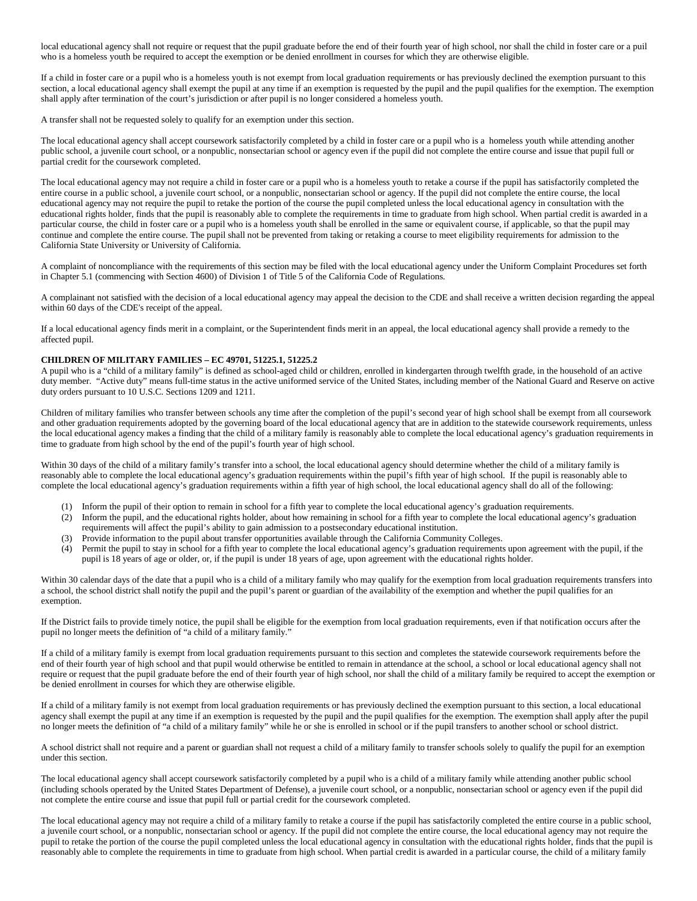local educational agency shall not require or request that the pupil graduate before the end of their fourth year of high school, nor shall the child in foster care or a puil who is a homeless youth be required to accept the exemption or be denied enrollment in courses for which they are otherwise eligible.

If a child in foster care or a pupil who is a homeless youth is not exempt from local graduation requirements or has previously declined the exemption pursuant to this section, a local educational agency shall exempt the pupil at any time if an exemption is requested by the pupil and the pupil qualifies for the exemption. The exemption shall apply after termination of the court's jurisdiction or after pupil is no longer considered a homeless youth.

A transfer shall not be requested solely to qualify for an exemption under this section.

The local educational agency shall accept coursework satisfactorily completed by a child in foster care or a pupil who is a homeless youth while attending another public school, a juvenile court school, or a nonpublic, nonsectarian school or agency even if the pupil did not complete the entire course and issue that pupil full or partial credit for the coursework completed.

The local educational agency may not require a child in foster care or a pupil who is a homeless youth to retake a course if the pupil has satisfactorily completed the entire course in a public school, a juvenile court school, or a nonpublic, nonsectarian school or agency. If the pupil did not complete the entire course, the local educational agency may not require the pupil to retake the portion of the course the pupil completed unless the local educational agency in consultation with the educational rights holder, finds that the pupil is reasonably able to complete the requirements in time to graduate from high school. When partial credit is awarded in a particular course, the child in foster care or a pupil who is a homeless youth shall be enrolled in the same or equivalent course, if applicable, so that the pupil may continue and complete the entire course. The pupil shall not be prevented from taking or retaking a course to meet eligibility requirements for admission to the California State University or University of California.

A complaint of noncompliance with the requirements of this section may be filed with the local educational agency under the Uniform Complaint Procedures set forth in Chapter 5.1 (commencing with Section 4600) of Division 1 of Title 5 of the California Code of Regulations.

A complainant not satisfied with the decision of a local educational agency may appeal the decision to the CDE and shall receive a written decision regarding the appeal within 60 days of the CDE's receipt of the appeal.

If a local educational agency finds merit in a complaint, or the Superintendent finds merit in an appeal, the local educational agency shall provide a remedy to the affected pupil.

#### **CHILDREN OF MILITARY FAMILIES – EC 49701, 51225.1, 51225.2**

A pupil who is a "child of a military family" is defined as school-aged child or children, enrolled in kindergarten through twelfth grade, in the household of an active duty member. "Active duty" means full-time status in the active uniformed service of the United States, including member of the National Guard and Reserve on active duty orders pursuant to 10 U.S.C. Sections 1209 and 1211.

Children of military families who transfer between schools any time after the completion of the pupil's second year of high school shall be exempt from all coursework and other graduation requirements adopted by the governing board of the local educational agency that are in addition to the statewide coursework requirements, unless the local educational agency makes a finding that the child of a military family is reasonably able to complete the local educational agency's graduation requirements in time to graduate from high school by the end of the pupil's fourth year of high school.

Within 30 days of the child of a military family's transfer into a school, the local educational agency should determine whether the child of a military family is reasonably able to complete the local educational agency's graduation requirements within the pupil's fifth year of high school. If the pupil is reasonably able to complete the local educational agency's graduation requirements within a fifth year of high school, the local educational agency shall do all of the following:

- (1) Inform the pupil of their option to remain in school for a fifth year to complete the local educational agency's graduation requirements.
- (2) Inform the pupil, and the educational rights holder, about how remaining in school for a fifth year to complete the local educational agency's graduation requirements will affect the pupil's ability to gain admission to a postsecondary educational institution.
- (3) Provide information to the pupil about transfer opportunities available through the California Community Colleges.
- (4) Permit the pupil to stay in school for a fifth year to complete the local educational agency's graduation requirements upon agreement with the pupil, if the pupil is 18 years of age or older, or, if the pupil is under 18 years of age, upon agreement with the educational rights holder.

Within 30 calendar days of the date that a pupil who is a child of a military family who may qualify for the exemption from local graduation requirements transfers into a school, the school district shall notify the pupil and the pupil's parent or guardian of the availability of the exemption and whether the pupil qualifies for an exemption.

If the District fails to provide timely notice, the pupil shall be eligible for the exemption from local graduation requirements, even if that notification occurs after the pupil no longer meets the definition of "a child of a military family."

If a child of a military family is exempt from local graduation requirements pursuant to this section and completes the statewide coursework requirements before the end of their fourth year of high school and that pupil would otherwise be entitled to remain in attendance at the school, a school or local educational agency shall not require or request that the pupil graduate before the end of their fourth year of high school, nor shall the child of a military family be required to accept the exemption or be denied enrollment in courses for which they are otherwise eligible.

If a child of a military family is not exempt from local graduation requirements or has previously declined the exemption pursuant to this section, a local educational agency shall exempt the pupil at any time if an exemption is requested by the pupil and the pupil qualifies for the exemption. The exemption shall apply after the pupil no longer meets the definition of "a child of a military family" while he or she is enrolled in school or if the pupil transfers to another school or school district.

A school district shall not require and a parent or guardian shall not request a child of a military family to transfer schools solely to qualify the pupil for an exemption under this section.

The local educational agency shall accept coursework satisfactorily completed by a pupil who is a child of a military family while attending another public school (including schools operated by the United States Department of Defense), a juvenile court school, or a nonpublic, nonsectarian school or agency even if the pupil did not complete the entire course and issue that pupil full or partial credit for the coursework completed.

The local educational agency may not require a child of a military family to retake a course if the pupil has satisfactorily completed the entire course in a public school, a juvenile court school, or a nonpublic, nonsectarian school or agency. If the pupil did not complete the entire course, the local educational agency may not require the pupil to retake the portion of the course the pupil completed unless the local educational agency in consultation with the educational rights holder, finds that the pupil is reasonably able to complete the requirements in time to graduate from high school. When partial credit is awarded in a particular course, the child of a military family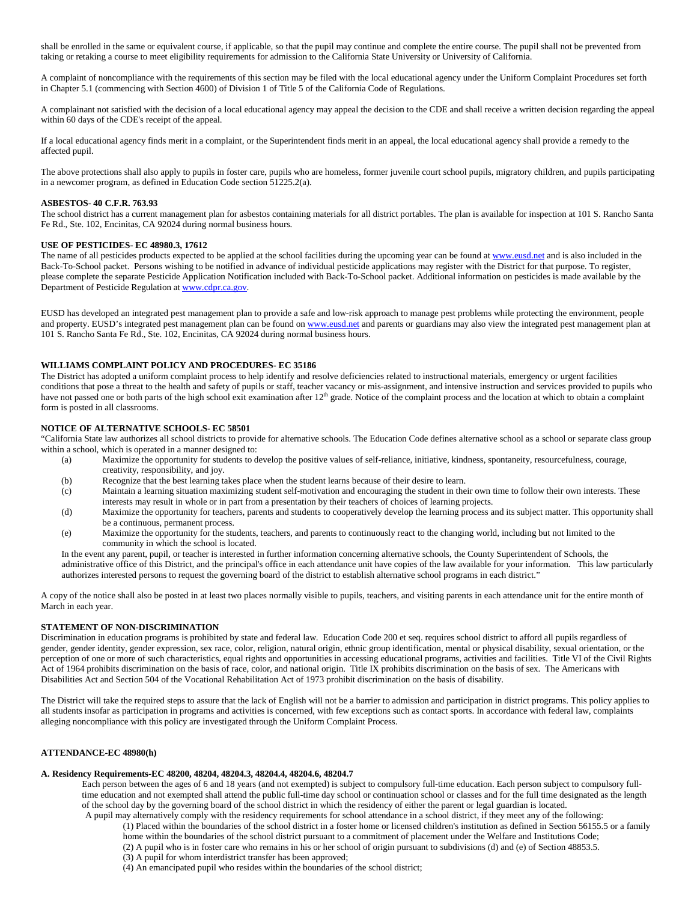shall be enrolled in the same or equivalent course, if applicable, so that the pupil may continue and complete the entire course. The pupil shall not be prevented from taking or retaking a course to meet eligibility requirements for admission to the California State University or University of California.

A complaint of noncompliance with the requirements of this section may be filed with the local educational agency under the Uniform Complaint Procedures set forth in Chapter 5.1 (commencing with Section 4600) of Division 1 of Title 5 of the California Code of Regulations.

A complainant not satisfied with the decision of a local educational agency may appeal the decision to the CDE and shall receive a written decision regarding the appeal within 60 days of the CDE's receipt of the appeal.

If a local educational agency finds merit in a complaint, or the Superintendent finds merit in an appeal, the local educational agency shall provide a remedy to the affected pupil.

The above protections shall also apply to pupils in foster care, pupils who are homeless, former juvenile court school pupils, migratory children, and pupils participating in a newcomer program, as defined in Education Code section 51225.2(a).

#### **ASBESTOS- 40 C.F.R. 763.93**

The school district has a current management plan for asbestos containing materials for all district portables. The plan is available for inspection at 101 S. Rancho Santa Fe Rd., Ste. 102, Encinitas, CA 92024 during normal business hours.

#### **USE OF PESTICIDES- EC 48980.3, 17612**

The name of all pesticides products expected to be applied at the school facilities during the upcoming year can be found at [www.eusd.net](http://www.eusd.net/) and is also included in the Back-To-School packet. Persons wishing to be notified in advance of individual pesticide applications may register with the District for that purpose. To register, please complete the separate Pesticide Application Notification included with Back-To-School packet. Additional information on pesticides is made available by the Department of Pesticide Regulation a[t www.cdpr.ca.gov.](http://www.cdpr.ca.gov/) 

EUSD has developed an integrated pest management plan to provide a safe and low-risk approach to manage pest problems while protecting the environment, people and property. EUSD's integrated pest management plan can be found o[n www.eusd.net](http://www.eusd.net/) and parents or guardians may also view the integrated pest management plan at 101 S. Rancho Santa Fe Rd., Ste. 102, Encinitas, CA 92024 during normal business hours.

#### **WILLIAMS COMPLAINT POLICY AND PROCEDURES- EC 35186**

The District has adopted a uniform complaint process to help identify and resolve deficiencies related to instructional materials, emergency or urgent facilities conditions that pose a threat to the health and safety of pupils or staff, teacher vacancy or mis-assignment, and intensive instruction and services provided to pupils who have not passed one or both parts of the high school exit examination after 12<sup>th</sup> grade. Notice of the complaint process and the location at which to obtain a complaint form is posted in all classrooms.

#### **NOTICE OF ALTERNATIVE SCHOOLS- EC 58501**

"California State law authorizes all school districts to provide for alternative schools. The Education Code defines alternative school as a school or separate class group within a school, which is operated in a manner designed to:

- (a) Maximize the opportunity for students to develop the positive values of self-reliance, initiative, kindness, spontaneity, resourcefulness, courage, creativity, responsibility, and joy.
- (b) Recognize that the best learning takes place when the student learns because of their desire to learn.
- (c) Maintain a learning situation maximizing student self-motivation and encouraging the student in their own time to follow their own interests. These interests may result in whole or in part from a presentation by their teachers of choices of learning projects.
- (d) Maximize the opportunity for teachers, parents and students to cooperatively develop the learning process and its subject matter. This opportunity shall be a continuous, permanent process.
- (e) Maximize the opportunity for the students, teachers, and parents to continuously react to the changing world, including but not limited to the community in which the school is located.

In the event any parent, pupil, or teacher is interested in further information concerning alternative schools, the County Superintendent of Schools, the administrative office of this District, and the principal's office in each attendance unit have copies of the law available for your information. This law particularly authorizes interested persons to request the governing board of the district to establish alternative school programs in each district."

A copy of the notice shall also be posted in at least two places normally visible to pupils, teachers, and visiting parents in each attendance unit for the entire month of March in each year.

#### **STATEMENT OF NON-DISCRIMINATION**

Discrimination in education programs is prohibited by state and federal law. Education Code 200 et seq. requires school district to afford all pupils regardless of gender, gender identity, gender expression, sex race, color, religion, natural origin, ethnic group identification, mental or physical disability, sexual orientation, or the perception of one or more of such characteristics, equal rights and opportunities in accessing educational programs, activities and facilities. Title VI of the Civil Rights Act of 1964 prohibits discrimination on the basis of race, color, and national origin. Title IX prohibits discrimination on the basis of sex. The Americans with Disabilities Act and Section 504 of the Vocational Rehabilitation Act of 1973 prohibit discrimination on the basis of disability.

The District will take the required steps to assure that the lack of English will not be a barrier to admission and participation in district programs. This policy applies to all students insofar as participation in programs and activities is concerned, with few exceptions such as contact sports. In accordance with federal law, complaints alleging noncompliance with this policy are investigated through the Uniform Complaint Process.

#### **ATTENDANCE-EC 48980(h)**

# **A. Residency Requirements-EC 48200, 48204, 48204.3, 48204.4, 48204.6, 48204.7**

Each person between the ages of 6 and 18 years (and not exempted) is subject to compulsory full-time education. Each person subject to compulsory fulltime education and not exempted shall attend the public full-time day school or continuation school or classes and for the full time designated as the length of the school day by the governing board of the school district in which the residency of either the parent or legal guardian is located. A pupil may alternatively comply with the residency requirements for school attendance in a school district, if they meet any of the following:

- (1) Placed within the boundaries of the school district in a foster home or licensed children's institution as defined in Section 56155.5 or a family
- home within the boundaries of the school district pursuant to a commitment of placement under the Welfare and Institutions Code;
- (2) A pupil who is in foster care who remains in his or her school of origin pursuant to subdivisions (d) and (e) of Section 48853.5.
- (3) A pupil for whom interdistrict transfer has been approved;
- (4) An emancipated pupil who resides within the boundaries of the school district;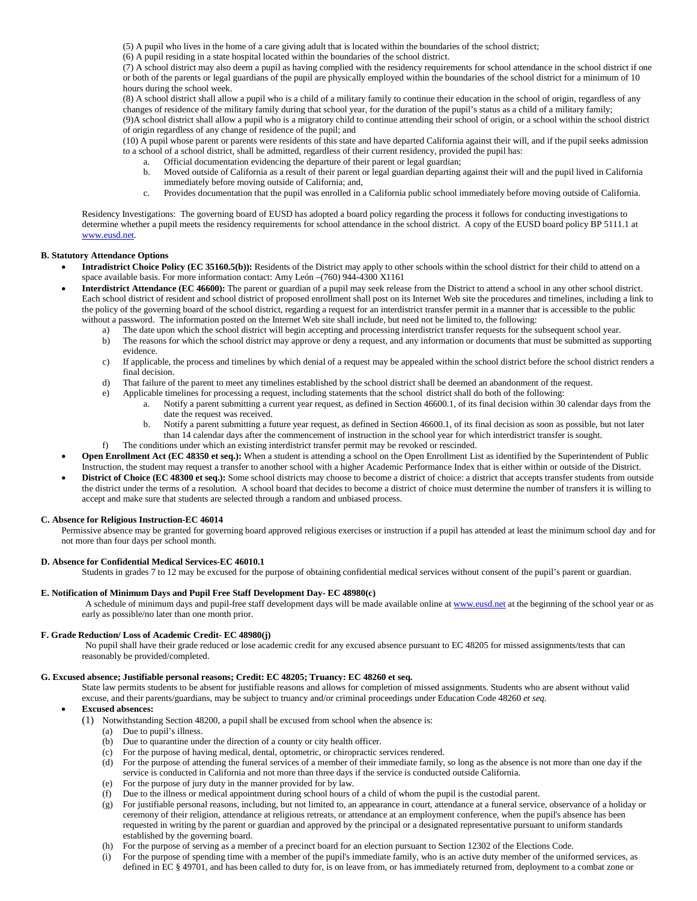(5) A pupil who lives in the home of a care giving adult that is located within the boundaries of the school district;

(6) A pupil residing in a state hospital located within the boundaries of the school district.

(7) A school district may also deem a pupil as having complied with the residency requirements for school attendance in the school district if one or both of the parents or legal guardians of the pupil are physically employed within the boundaries of the school district for a minimum of 10 hours during the school week.

(8) A school district shall allow a pupil who is a child of a military family to continue their education in the school of origin, regardless of any changes of residence of the military family during that school year, for the duration of the pupil's status as a child of a military family; (9)A school district shall allow a pupil who is a migratory child to continue attending their school of origin, or a school within the school district of origin regardless of any change of residence of the pupil; and

(10) A pupil whose parent or parents were residents of this state and have departed California against their will, and if the pupil seeks admission to a school of a school district, shall be admitted, regardless of their current residency, provided the pupil has:

- Official documentation evidencing the departure of their parent or legal guardian;
	- b. Moved outside of California as a result of their parent or legal guardian departing against their will and the pupil lived in California immediately before moving outside of California; and,
- c. Provides documentation that the pupil was enrolled in a California public school immediately before moving outside of California.

Residency Investigations: The governing board of EUSD has adopted a board policy regarding the process it follows for conducting investigations to determine whether a pupil meets the residency requirements for school attendance in the school district. A copy of the EUSD board policy BP 5111.1 at [www.eusd.net.](http://www.eusd.net/)

### **B. Statutory Attendance Options**

- **Intradistrict Choice Policy (EC 35160.5(b)):** Residents of the District may apply to other schools within the school district for their child to attend on a space available basis. For more information contact: Amy León –(760) 944-4300 X1161
- **Interdistrict Attendance (EC 46600):** The parent or guardian of a pupil may seek release from the District to attend a school in any other school district. Each school district of resident and school district of proposed enrollment shall post on its Internet Web site the procedures and timelines, including a link to the policy of the governing board of the school district, regarding a request for an interdistrict transfer permit in a manner that is accessible to the public without a password. The information posted on the Internet Web site shall include, but need not be limited to, the following:
	- a) The date upon which the school district will begin accepting and processing interdistrict transfer requests for the subsequent school year.
	- b) The reasons for which the school district may approve or deny a request, and any information or documents that must be submitted as supporting evidence.
	- c) If applicable, the process and timelines by which denial of a request may be appealed within the school district before the school district renders a final decision.
	- d) That failure of the parent to meet any timelines established by the school district shall be deemed an abandonment of the request.
	- e) Applicable timelines for processing a request, including statements that the school district shall do both of the following:
		- a. Notify a parent submitting a current year request, as defined in Section 46600.1, of its final decision within 30 calendar days from the date the request was received.
		- b. Notify a parent submitting a future year request, as defined in Section 46600.1, of its final decision as soon as possible, but not later than 14 calendar days after the commencement of instruction in the school year for which interdistrict transfer is sought.
	- f) The conditions under which an existing interdistrict transfer permit may be revoked or rescinded.
- **Open Enrollment Act (EC 48350 et seq.):** When a student is attending a school on the Open Enrollment List as identified by the Superintendent of Public Instruction, the student may request a transfer to another school with a higher Academic Performance Index that is either within or outside of the District.
- **District of Choice (EC 48300 et seq.):** Some school districts may choose to become a district of choice: a district that accepts transfer students from outside the district under the terms of a resolution. A school board that decides to become a district of choice must determine the number of transfers it is willing to accept and make sure that students are selected through a random and unbiased process.

#### **C. Absence for Religious Instruction-EC 46014**

Permissive absence may be granted for governing board approved religious exercises or instruction if a pupil has attended at least the minimum school day and for not more than four days per school month.

#### **D. Absence for Confidential Medical Services-EC 46010.1**

Students in grades 7 to 12 may be excused for the purpose of obtaining confidential medical services without consent of the pupil's parent or guardian.

## **E. Notification of Minimum Days and Pupil Free Staff Development Day- EC 48980(c)**

A schedule of minimum days and pupil-free staff development days will be made available online a[t www.eusd.net](http://www.eusd.net/) at the beginning of the school year or as early as possible/no later than one month prior.

# **F. Grade Reduction/ Loss of Academic Credit- EC 48980(j)**

No pupil shall have their grade reduced or lose academic credit for any excused absence pursuant to EC 48205 for missed assignments/tests that can reasonably be provided/completed.

### **G. Excused absence; Justifiable personal reasons; Credit: EC 48205; Truancy: EC 48260 et seq.**

State law permits students to be absent for justifiable reasons and allows for completion of missed assignments. Students who are absent without valid excuse, and their parents/guardians, may be subject to truancy and/or criminal proceedings under Education Code 48260 *et seq.*

# • **Excused absences:**

- (1) Notwithstanding Section 48200, a pupil shall be excused from school when the absence is:
	- (a) Due to pupil's illness.
	- (b) Due to quarantine under the direction of a county or city health officer.
	- (c) For the purpose of having medical, dental, optometric, or chiropractic services rendered.
	- (d) For the purpose of attending the funeral services of a member of their immediate family, so long as the absence is not more than one day if the service is conducted in California and not more than three days if the service is conducted outside California.
	- (e) For the purpose of jury duty in the manner provided for by law.
	- (f) Due to the illness or medical appointment during school hours of a child of whom the pupil is the custodial parent.
	- (g) For justifiable personal reasons, including, but not limited to, an appearance in court, attendance at a funeral service, observance of a holiday or ceremony of their religion, attendance at religious retreats, or attendance at an employment conference, when the pupil's absence has been requested in writing by the parent or guardian and approved by the principal or a designated representative pursuant to uniform standards established by the governing board.
	- (h) For the purpose of serving as a member of a precinct board for an election pursuant to Section 12302 of the Elections Code.
	- (i) For the purpose of spending time with a member of the pupil's immediate family, who is an active duty member of the uniformed services, as defined in EC § 49701, and has been called to duty for, is on leave from, or has immediately returned from, deployment to a combat zone or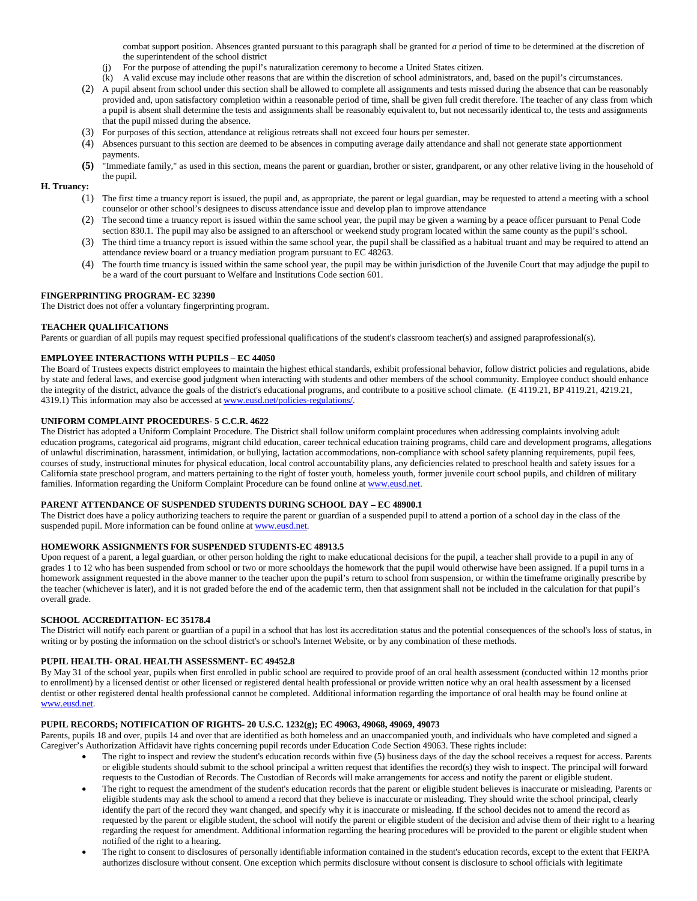combat support position. Absences granted pursuant to this paragraph shall be granted for *a* period of time to be determined at the discretion of the superintendent of the school district

- For the purpose of attending the pupil's naturalization ceremony to become a United States citizen.
- (k) A valid excuse may include other reasons that are within the discretion of school administrators, and, based on the pupil's circumstances.
- (2) A pupil absent from school under this section shall be allowed to complete all assignments and tests missed during the absence that can be reasonably provided and, upon satisfactory completion within a reasonable period of time, shall be given full credit therefore. The teacher of any class from which a pupil is absent shall determine the tests and assignments shall be reasonably equivalent to, but not necessarily identical to, the tests and assignments that the pupil missed during the absence.
- (3) For purposes of this section, attendance at religious retreats shall not exceed four hours per semester.
- (4) Absences pursuant to this section are deemed to be absences in computing average daily attendance and shall not generate state apportionment payments.
- **(5)** "Immediate family," as used in this section, means the parent or guardian, brother or sister, grandparent, or any other relative living in the household of the pupil.

# **H. Truancy:**

- (1) The first time a truancy report is issued, the pupil and, as appropriate, the parent or legal guardian, may be requested to attend a meeting with a school counselor or other school's designees to discuss attendance issue and develop plan to improve attendance
- (2) The second time a truancy report is issued within the same school year, the pupil may be given a warning by a peace officer pursuant to Penal Code section 830.1. The pupil may also be assigned to an afterschool or weekend study program located within the same county as the pupil's school.
- (3) The third time a truancy report is issued within the same school year, the pupil shall be classified as a habitual truant and may be required to attend an attendance review board or a truancy mediation program pursuant to EC 48263.
- (4) The fourth time truancy is issued within the same school year, the pupil may be within jurisdiction of the Juvenile Court that may adjudge the pupil to be a ward of the court pursuant to Welfare and Institutions Code section 601.

### **FINGERPRINTING PROGRAM- EC 32390**

The District does not offer a voluntary fingerprinting program.

### **TEACHER QUALIFICATIONS**

Parents or guardian of all pupils may request specified professional qualifications of the student's classroom teacher(s) and assigned paraprofessional(s).

## **EMPLOYEE INTERACTIONS WITH PUPILS – EC 44050**

The Board of Trustees expects district employees to maintain the highest ethical standards, exhibit professional behavior, follow district policies and regulations, abide by state and federal laws, and exercise good judgment when interacting with students and other members of the school community. Employee conduct should enhance the integrity of the district, advance the goals of the district's educational programs, and contribute to a positive school climate. (E 4119.21, BP 4119.21, 4219.21, 4319.1) This information may also be accessed a[t www.eusd.net/p](http://www.eusd.net/)olicies-regulations/.

# **UNIFORM COMPLAINT PROCEDURES- 5 C.C.R. 4622**

The District has adopted a Uniform Complaint Procedure. The District shall follow uniform complaint procedures when addressing complaints involving adult education programs, categorical aid programs, migrant child education, career technical education training programs, child care and development programs, allegations of unlawful discrimination, harassment, intimidation, or bullying, lactation accommodations, non-compliance with school safety planning requirements, pupil fees, courses of study, instructional minutes for physical education, local control accountability plans, any deficiencies related to preschool health and safety issues for a California state preschool program, and matters pertaining to the right of foster youth, homeless youth, former juvenile court school pupils, and children of military families. Information regarding the Uniform Complaint Procedure can be found online a[t www.eusd.net.](http://www.eusd.net/)

### **PARENT ATTENDANCE OF SUSPENDED STUDENTS DURING SCHOOL DAY – EC 48900.1**

The District does have a policy authorizing teachers to require the parent or guardian of a suspended pupil to attend a portion of a school day in the class of the suspended pupil. More information can be found online a[t www.eusd.net.](http://www.eusd.net/)

### **HOMEWORK ASSIGNMENTS FOR SUSPENDED STUDENTS-EC 48913.5**

Upon request of a parent, a legal guardian, or other person holding the right to make educational decisions for the pupil, a teacher shall provide to a pupil in any of grades 1 to 12 who has been suspended from school or two or more schooldays the homework that the pupil would otherwise have been assigned. If a pupil turns in a homework assignment requested in the above manner to the teacher upon the pupil's return to school from suspension, or within the timeframe originally prescribe by the teacher (whichever is later), and it is not graded before the end of the academic term, then that assignment shall not be included in the calculation for that pupil's overall grade.

#### **SCHOOL ACCREDITATION- EC 35178.4**

The District will notify each parent or guardian of a pupil in a school that has lost its accreditation status and the potential consequences of the school's loss of status, in writing or by posting the information on the school district's or school's Internet Website, or by any combination of these methods.

# **PUPIL HEALTH- ORAL HEALTH ASSESSMENT- EC 49452.8**

By May 31 of the school year, pupils when first enrolled in public school are required to provide proof of an oral health assessment (conducted within 12 months prior to enrollment) by a licensed dentist or other licensed or registered dental health professional or provide written notice why an oral health assessment by a licensed dentist or other registered dental health professional cannot be completed. Additional information regarding the importance of oral health may be found online at [www.eusd.net.](http://www.eusd.net/) 

# **PUPIL RECORDS; NOTIFICATION OF RIGHTS- 20 U.S.C. 1232(g); EC 49063, 49068, 49069, 49073**

Parents, pupils 18 and over, pupils 14 and over that are identified as both homeless and an unaccompanied youth, and individuals who have completed and signed a Caregiver's Authorization Affidavit have rights concerning pupil records under Education Code Section 49063. These rights include:

- The right to inspect and review the student's education records within five (5) business days of the day the school receives a request for access. Parents or eligible students should submit to the school principal a written request that identifies the record(s) they wish to inspect. The principal will forward requests to the Custodian of Records. The Custodian of Records will make arrangements for access and notify the parent or eligible student.
- The right to request the amendment of the student's education records that the parent or eligible student believes is inaccurate or misleading. Parents or eligible students may ask the school to amend a record that they believe is inaccurate or misleading. They should write the school principal, clearly identify the part of the record they want changed, and specify why it is inaccurate or misleading. If the school decides not to amend the record as requested by the parent or eligible student, the school will notify the parent or eligible student of the decision and advise them of their right to a hearing regarding the request for amendment. Additional information regarding the hearing procedures will be provided to the parent or eligible student when notified of the right to a hearing.
- The right to consent to disclosures of personally identifiable information contained in the student's education records, except to the extent that FERPA authorizes disclosure without consent. One exception which permits disclosure without consent is disclosure to school officials with legitimate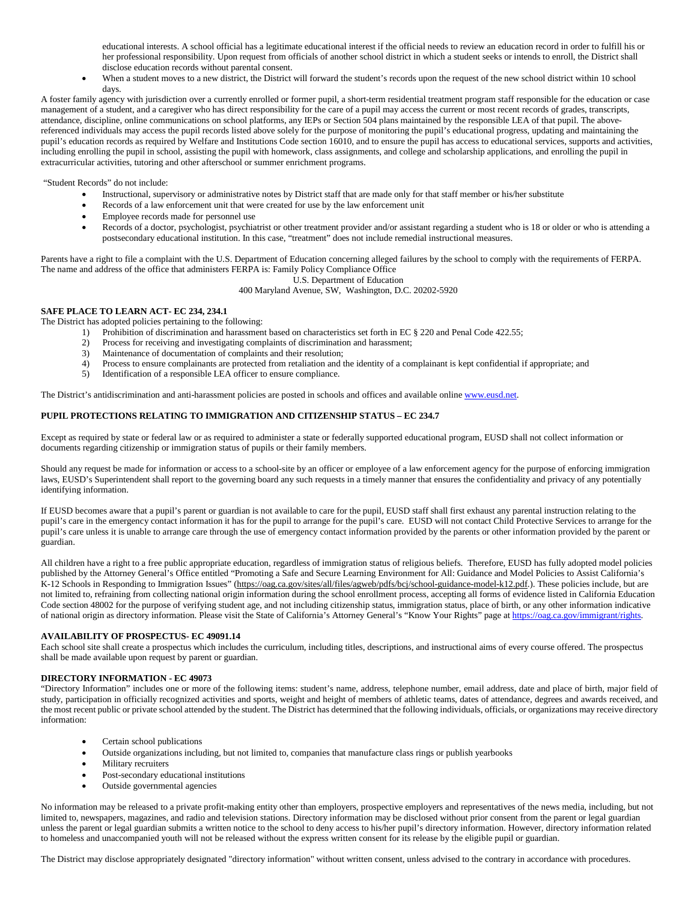educational interests. A school official has a legitimate educational interest if the official needs to review an education record in order to fulfill his or her professional responsibility. Upon request from officials of another school district in which a student seeks or intends to enroll, the District shall disclose education records without parental consent.

• When a student moves to a new district, the District will forward the student's records upon the request of the new school district within 10 school days.

A foster family agency with jurisdiction over a currently enrolled or former pupil, a short-term residential treatment program staff responsible for the education or case management of a student, and a caregiver who has direct responsibility for the care of a pupil may access the current or most recent records of grades, transcripts, attendance, discipline, online communications on school platforms, any IEPs or Section 504 plans maintained by the responsible LEA of that pupil. The abovereferenced individuals may access the pupil records listed above solely for the purpose of monitoring the pupil's educational progress, updating and maintaining the pupil's education records as required by Welfare and Institutions Code section 16010, and to ensure the pupil has access to educational services, supports and activities, including enrolling the pupil in school, assisting the pupil with homework, class assignments, and college and scholarship applications, and enrolling the pupil in extracurricular activities, tutoring and other afterschool or summer enrichment programs.

"Student Records" do not include:

- Instructional, supervisory or administrative notes by District staff that are made only for that staff member or his/her substitute
- Records of a law enforcement unit that were created for use by the law enforcement unit
- Employee records made for personnel use
- Records of a doctor, psychologist, psychiatrist or other treatment provider and/or assistant regarding a student who is 18 or older or who is attending a postsecondary educational institution. In this case, "treatment" does not include remedial instructional measures.

Parents have a right to file a complaint with the U.S. Department of Education concerning alleged failures by the school to comply with the requirements of FERPA. The name and address of the office that administers FERPA is: Family Policy Compliance Office

U.S. Department of Education

400 Maryland Avenue, SW, Washington, D.C. 20202-5920

# **SAFE PLACE TO LEARN ACT- EC 234, 234.1**

The District has adopted policies pertaining to the following:

- 1) Prohibition of discrimination and harassment based on characteristics set forth in EC § 220 and Penal Code 422.55;<br>2) Process for receiving and investigating complaints of discrimination and harassment:
- 2) Process for receiving and investigating complaints of discrimination and harassment;
- 3) Maintenance of documentation of complaints and their resolution;
- 4) Process to ensure complainants are protected from retaliation and the identity of a complainant is kept confidential if appropriate; and
- 5) Identification of a responsible LEA officer to ensure compliance.

The District's antidiscrimination and anti-harassment policies are posted in schools and offices and available onlin[e www.eusd.net.](http://www.eusd.net/)

# **PUPIL PROTECTIONS RELATING TO IMMIGRATION AND CITIZENSHIP STATUS – EC 234.7**

Except as required by state or federal law or as required to administer a state or federally supported educational program, EUSD shall not collect information or documents regarding citizenship or immigration status of pupils or their family members.

Should any request be made for information or access to a school-site by an officer or employee of a law enforcement agency for the purpose of enforcing immigration laws, EUSD's Superintendent shall report to the governing board any such requests in a timely manner that ensures the confidentiality and privacy of any potentially identifying information.

If EUSD becomes aware that a pupil's parent or guardian is not available to care for the pupil, EUSD staff shall first exhaust any parental instruction relating to the pupil's care in the emergency contact information it has for the pupil to arrange for the pupil's care. EUSD will not contact Child Protective Services to arrange for the pupil's care unless it is unable to arrange care through the use of emergency contact information provided by the parents or other information provided by the parent or guardian.

All children have a right to a free public appropriate education, regardless of immigration status of religious beliefs. Therefore, EUSD has fully adopted model policies published by the Attorney General's Office entitled "Promoting a Safe and Secure Learning Environment for All: Guidance and Model Policies to Assist California's K-12 Schools in Responding to Immigration Issues" (https://oag.ca.gov/sites/all/files/agweb/pdfs/bcj/school-guidance-model-k12.pdf.). These policies include, but are not limited to, refraining from collecting national origin information during the school enrollment process, accepting all forms of evidence listed in California Education Code section 48002 for the purpose of verifying student age, and not including citizenship status, immigration status, place of birth, or any other information indicative of national origin as directory information. Please visit the State of California's Attorney General's "Know Your Rights" page a[t https://oag.ca.gov/immigrant/rights.](https://oag.ca.gov/immigrant/rights)

# **AVAILABILITY OF PROSPECTUS- EC 49091.14**

Each school site shall create a prospectus which includes the curriculum, including titles, descriptions, and instructional aims of every course offered. The prospectus shall be made available upon request by parent or guardian.

#### **DIRECTORY INFORMATION - EC 49073**

"Directory Information" includes one or more of the following items: student's name, address, telephone number, email address, date and place of birth, major field of study, participation in officially recognized activities and sports, weight and height of members of athletic teams, dates of attendance, degrees and awards received, and the most recent public or private school attended by the student. The District has determined that the following individuals, officials, or organizations may receive directory information:

- Certain school publications
- Outside organizations including, but not limited to, companies that manufacture class rings or publish yearbooks
- Military recruiters
- Post-secondary educational institutions
- Outside governmental agencies

No information may be released to a private profit-making entity other than employers, prospective employers and representatives of the news media, including, but not limited to, newspapers, magazines, and radio and television stations. Directory information may be disclosed without prior consent from the parent or legal guardian unless the parent or legal guardian submits a written notice to the school to deny access to his/her pupil's directory information. However, directory information related to homeless and unaccompanied youth will not be released without the express written consent for its release by the eligible pupil or guardian.

The District may disclose appropriately designated "directory information" without written consent, unless advised to the contrary in accordance with procedures.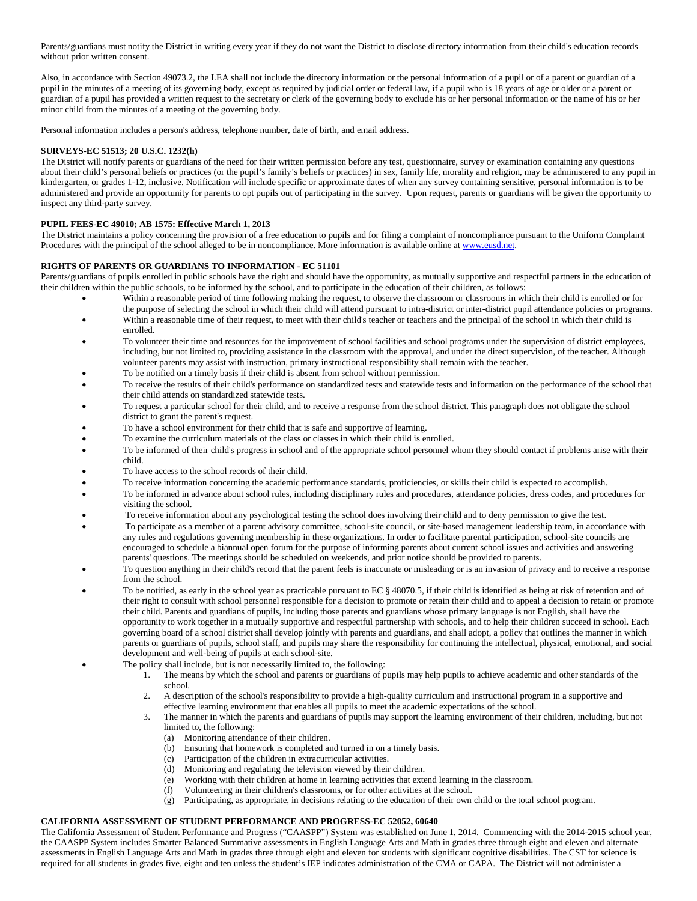Parents/guardians must notify the District in writing every year if they do not want the District to disclose directory information from their child's education records without prior written consent.

Also, in accordance with Section 49073.2, the LEA shall not include the directory information or the personal information of a pupil or of a parent or guardian of a pupil in the minutes of a meeting of its governing body, except as required by judicial order or federal law, if a pupil who is 18 years of age or older or a parent or guardian of a pupil has provided a written request to the secretary or clerk of the governing body to exclude his or her personal information or the name of his or her minor child from the minutes of a meeting of the governing body.

Personal information includes a person's address, telephone number, date of birth, and email address.

## **SURVEYS-EC 51513; 20 U.S.C. 1232(h)**

The District will notify parents or guardians of the need for their written permission before any test, questionnaire, survey or examination containing any questions about their child's personal beliefs or practices (or the pupil's family's beliefs or practices) in sex, family life, morality and religion, may be administered to any pupil in kindergarten, or grades 1-12, inclusive. Notification will include specific or approximate dates of when any survey containing sensitive, personal information is to be administered and provide an opportunity for parents to opt pupils out of participating in the survey. Upon request, parents or guardians will be given the opportunity to inspect any third-party survey.

### **PUPIL FEES-EC 49010; AB 1575: Effective March 1, 2013**

The District maintains a policy concerning the provision of a free education to pupils and for filing a complaint of noncompliance pursuant to the Uniform Complaint Procedures with the principal of the school alleged to be in noncompliance. More information is available online a[t www.eusd.net.](http://www.eusd.net/)

### **RIGHTS OF PARENTS OR GUARDIANS TO INFORMATION - EC 51101**

Parents/guardians of pupils enrolled in public schools have the right and should have the opportunity, as mutually supportive and respectful partners in the education of their children within the public schools, to be informed by the school, and to participate in the education of their children, as follows:

- Within a reasonable period of time following making the request, to observe the classroom or classrooms in which their child is enrolled or for the purpose of selecting the school in which their child will attend pursuant to intra-district or inter-district pupil attendance policies or programs.
- Within a reasonable time of their request, to meet with their child's teacher or teachers and the principal of the school in which their child is enrolled.
- To volunteer their time and resources for the improvement of school facilities and school programs under the supervision of district employees, including, but not limited to, providing assistance in the classroom with the approval, and under the direct supervision, of the teacher. Although volunteer parents may assist with instruction, primary instructional responsibility shall remain with the teacher.
- To be notified on a timely basis if their child is absent from school without permission.
- To receive the results of their child's performance on standardized tests and statewide tests and information on the performance of the school that their child attends on standardized statewide tests.
- To request a particular school for their child, and to receive a response from the school district. This paragraph does not obligate the school district to grant the parent's request.
- To have a school environment for their child that is safe and supportive of learning.
- To examine the curriculum materials of the class or classes in which their child is enrolled.
- To be informed of their child's progress in school and of the appropriate school personnel whom they should contact if problems arise with their child.
- To have access to the school records of their child.
- To receive information concerning the academic performance standards, proficiencies, or skills their child is expected to accomplish.
- To be informed in advance about school rules, including disciplinary rules and procedures, attendance policies, dress codes, and procedures for visiting the school.
- To receive information about any psychological testing the school does involving their child and to deny permission to give the test.
- To participate as a member of a parent advisory committee, school-site council, or site-based management leadership team, in accordance with any rules and regulations governing membership in these organizations. In order to facilitate parental participation, school-site councils are encouraged to schedule a biannual open forum for the purpose of informing parents about current school issues and activities and answering parents' questions. The meetings should be scheduled on weekends, and prior notice should be provided to parents.
- To question anything in their child's record that the parent feels is inaccurate or misleading or is an invasion of privacy and to receive a response from the school.
- To be notified, as early in the school year as practicable pursuant to EC § 48070.5, if their child is identified as being at risk of retention and of their right to consult with school personnel responsible for a decision to promote or retain their child and to appeal a decision to retain or promote their child. Parents and guardians of pupils, including those parents and guardians whose primary language is not English, shall have the opportunity to work together in a mutually supportive and respectful partnership with schools, and to help their children succeed in school. Each governing board of a school district shall develop jointly with parents and guardians, and shall adopt, a policy that outlines the manner in which parents or guardians of pupils, school staff, and pupils may share the responsibility for continuing the intellectual, physical, emotional, and social development and well-being of pupils at each school-site.
- The policy shall include, but is not necessarily limited to, the following:
	- 1. The means by which the school and parents or guardians of pupils may help pupils to achieve academic and other standards of the school.
	- 2. A description of the school's responsibility to provide a high-quality curriculum and instructional program in a supportive and effective learning environment that enables all pupils to meet the academic expectations of the school.
	- 3. The manner in which the parents and guardians of pupils may support the learning environment of their children, including, but not limited to, the following:
		- (a) Monitoring attendance of their children.
		- (b) Ensuring that homework is completed and turned in on a timely basis.
		- (c) Participation of the children in extracurricular activities.
		- (d) Monitoring and regulating the television viewed by their children.
		- (e) Working with their children at home in learning activities that extend learning in the classroom.
		- (f) Volunteering in their children's classrooms, or for other activities at the school.
		- (g) Participating, as appropriate, in decisions relating to the education of their own child or the total school program.

# **CALIFORNIA ASSESSMENT OF STUDENT PERFORMANCE AND PROGRESS-EC 52052, 60640**

The California Assessment of Student Performance and Progress ("CAASPP") System was established on June 1, 2014. Commencing with the 2014-2015 school year, the CAASPP System includes Smarter Balanced Summative assessments in English Language Arts and Math in grades three through eight and eleven and alternate assessments in English Language Arts and Math in grades three through eight and eleven for students with significant cognitive disabilities. The CST for science is required for all students in grades five, eight and ten unless the student's IEP indicates administration of the CMA or CAPA. The District will not administer a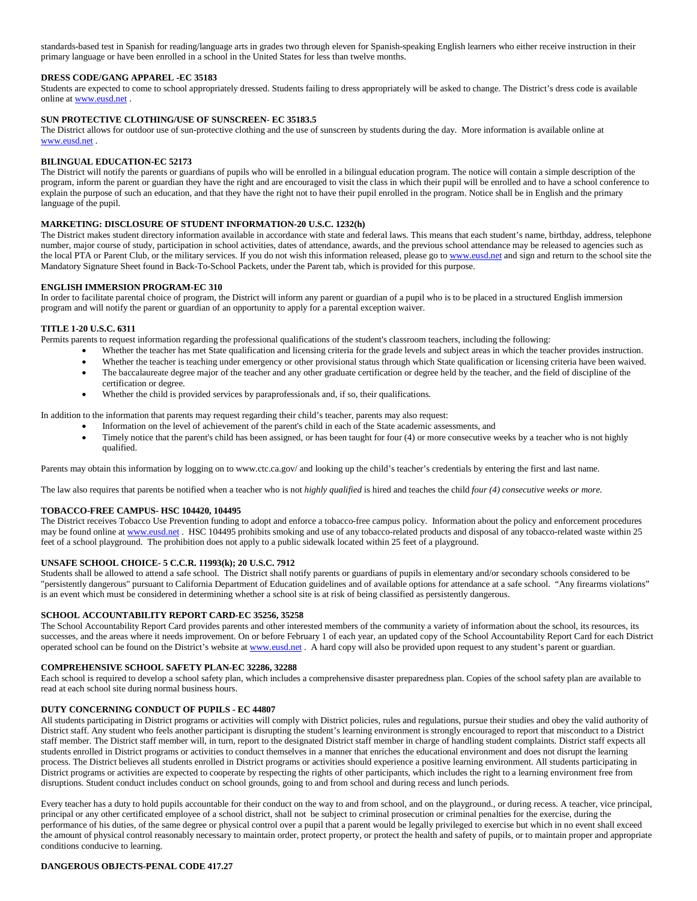standards-based test in Spanish for reading/language arts in grades two through eleven for Spanish-speaking English learners who either receive instruction in their primary language or have been enrolled in a school in the United States for less than twelve months.

### **DRESS CODE/GANG APPAREL -EC 35183**

Students are expected to come to school appropriately dressed. Students failing to dress appropriately will be asked to change. The District's dress code is available online at [www.eusd.net](http://www.eusd.net/) .

#### **SUN PROTECTIVE CLOTHING/USE OF SUNSCREEN**- **EC 35183.5**

The District allows for outdoor use of sun-protective clothing and the use of sunscreen by students during the day. More information is available online at [www.eusd.net](http://www.eusd.net/) .

#### **BILINGUAL EDUCATION-EC 52173**

The District will notify the parents or guardians of pupils who will be enrolled in a bilingual education program. The notice will contain a simple description of the program, inform the parent or guardian they have the right and are encouraged to visit the class in which their pupil will be enrolled and to have a school conference to explain the purpose of such an education, and that they have the right not to have their pupil enrolled in the program. Notice shall be in English and the primary language of the pupil.

#### **MARKETING: DISCLOSURE OF STUDENT INFORMATION-20 U.S.C. 1232(h)**

The District makes student directory information available in accordance with state and federal laws. This means that each student's name, birthday, address, telephone number, major course of study, participation in school activities, dates of attendance, awards, and the previous school attendance may be released to agencies such as the local PTA or Parent Club, or the military services. If you do not wish this information released, please go t[o www.eusd.net](http://www.eusd.net/) and sign and return to the school site the Mandatory Signature Sheet found in Back-To-School Packets, under the Parent tab, which is provided for this purpose.

#### **ENGLISH IMMERSION PROGRAM-EC 310**

In order to facilitate parental choice of program, the District will inform any parent or guardian of a pupil who is to be placed in a structured English immersion program and will notify the parent or guardian of an opportunity to apply for a parental exception waiver.

#### **TITLE 1-20 U.S.C. 6311**

Permits parents to request information regarding the professional qualifications of the student's classroom teachers, including the following:

- Whether the teacher has met State qualification and licensing criteria for the grade levels and subject areas in which the teacher provides instruction.
- Whether the teacher is teaching under emergency or other provisional status through which State qualification or licensing criteria have been waived.
- The baccalaureate degree major of the teacher and any other graduate certification or degree held by the teacher, and the field of discipline of the certification or degree.
- Whether the child is provided services by paraprofessionals and, if so, their qualifications.

In addition to the information that parents may request regarding their child's teacher, parents may also request:

- Information on the level of achievement of the parent's child in each of the State academic assessments, and
- Timely notice that the parent's child has been assigned, or has been taught for four (4) or more consecutive weeks by a teacher who is not highly qualified.

Parents may obtain this information by logging on to www.ctc.ca.gov/ and looking up the child's teacher's credentials by entering the first and last name.

The law also requires that parents be notified when a teacher who is not *highly qualified* is hired and teaches the child *four (4) consecutive weeks or more.*

#### **TOBACCO-FREE CAMPUS- HSC 104420, 104495**

The District receives Tobacco Use Prevention funding to adopt and enforce a tobacco-free campus policy. Information about the policy and enforcement procedures may be found online at [www.eusd.net](http://www.eusd.net/) . HSC 104495 prohibits smoking and use of any tobacco-related products and disposal of any tobacco-related waste within 25 feet of a school playground. The prohibition does not apply to a public sidewalk located within 25 feet of a playground.

# **UNSAFE SCHOOL CHOICE- 5 C.C.R. 11993(k); 20 U.S.C. 7912**

Students shall be allowed to attend a safe school. The District shall notify parents or guardians of pupils in elementary and/or secondary schools considered to be "persistently dangerous" pursuant to California Department of Education guidelines and of available options for attendance at a safe school. "Any firearms violations" is an event which must be considered in determining whether a school site is at risk of being classified as persistently dangerous.

#### **SCHOOL ACCOUNTABILITY REPORT CARD-EC 35256, 35258**

The School Accountability Report Card provides parents and other interested members of the community a variety of information about the school, its resources, its successes, and the areas where it needs improvement. On or before February 1 of each year, an updated copy of the School Accountability Report Card for each District operated school can be found on the District's website a[t www.eusd.net](http://www.eusd.net/). A hard copy will also be provided upon request to any student's parent or guardian.

#### **COMPREHENSIVE SCHOOL SAFETY PLAN-EC 32286, 32288**

Each school is required to develop a school safety plan, which includes a comprehensive disaster preparedness plan. Copies of the school safety plan are available to read at each school site during normal business hours.

#### **DUTY CONCERNING CONDUCT OF PUPILS - EC 44807**

All students participating in District programs or activities will comply with District policies, rules and regulations, pursue their studies and obey the valid authority of District staff. Any student who feels another participant is disrupting the student's learning environment is strongly encouraged to report that misconduct to a District staff member. The District staff member will, in turn, report to the designated District staff member in charge of handling student complaints. District staff expects all students enrolled in District programs or activities to conduct themselves in a manner that enriches the educational environment and does not disrupt the learning process. The District believes all students enrolled in District programs or activities should experience a positive learning environment. All students participating in District programs or activities are expected to cooperate by respecting the rights of other participants, which includes the right to a learning environment free from disruptions. Student conduct includes conduct on school grounds, going to and from school and during recess and lunch periods.

Every teacher has a duty to hold pupils accountable for their conduct on the way to and from school, and on the playground., or during recess. A teacher, vice principal, principal or any other certificated employee of a school district, shall not be subject to criminal prosecution or criminal penalties for the exercise, during the performance of his duties, of the same degree or physical control over a pupil that a parent would be legally privileged to exercise but which in no event shall exceed the amount of physical control reasonably necessary to maintain order, protect property, or protect the health and safety of pupils, or to maintain proper and appropriate conditions conducive to learning.

#### **DANGEROUS OBJECTS-PENAL CODE 417.27**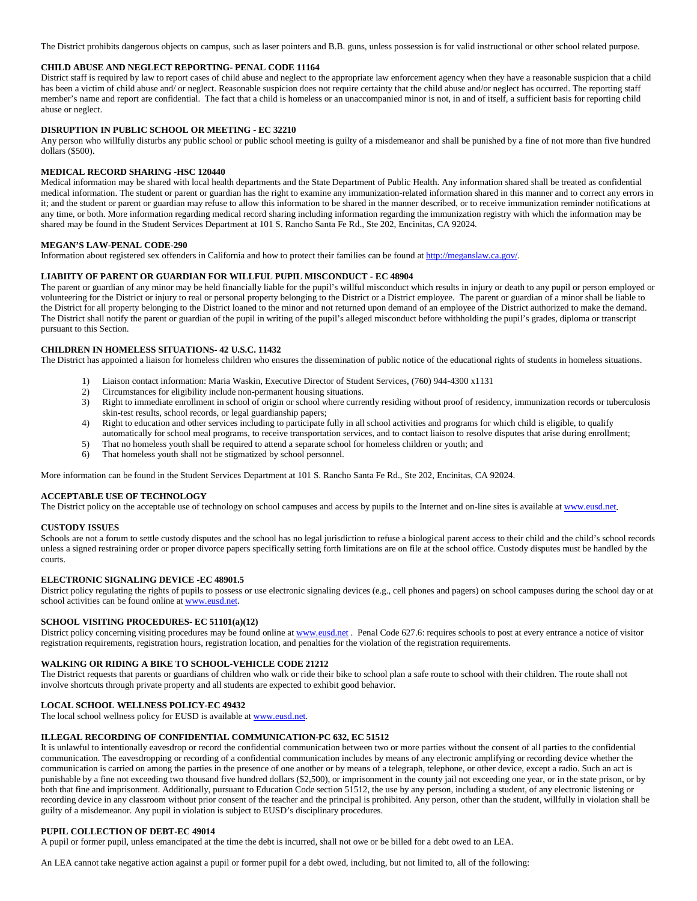The District prohibits dangerous objects on campus, such as laser pointers and B.B. guns, unless possession is for valid instructional or other school related purpose.

#### **CHILD ABUSE AND NEGLECT REPORTING- PENAL CODE 11164**

District staff is required by law to report cases of child abuse and neglect to the appropriate law enforcement agency when they have a reasonable suspicion that a child has been a victim of child abuse and/ or neglect. Reasonable suspicion does not require certainty that the child abuse and/or neglect has occurred. The reporting staff member's name and report are confidential. The fact that a child is homeless or an unaccompanied minor is not, in and of itself, a sufficient basis for reporting child abuse or neglect.

### **DISRUPTION IN PUBLIC SCHOOL OR MEETING - EC 32210**

Any person who willfully disturbs any public school or public school meeting is guilty of a misdemeanor and shall be punished by a fine of not more than five hundred dollars (\$500).

#### **MEDICAL RECORD SHARING -HSC 120440**

Medical information may be shared with local health departments and the State Department of Public Health. Any information shared shall be treated as confidential medical information. The student or parent or guardian has the right to examine any immunization-related information shared in this manner and to correct any errors in it; and the student or parent or guardian may refuse to allow this information to be shared in the manner described, or to receive immunization reminder notifications at any time, or both. More information regarding medical record sharing including information regarding the immunization registry with which the information may be shared may be found in the Student Services Department at 101 S. Rancho Santa Fe Rd., Ste 202, Encinitas, CA 92024.

#### **MEGAN'S LAW-PENAL CODE-290**

Information about registered sex offenders in California and how to protect their families can be found a[t http://meganslaw.ca.gov/.](http://meganslaw.ca.gov/)

### **LIABIITY OF PARENT OR GUARDIAN FOR WILLFUL PUPIL MISCONDUCT - EC 48904**

The parent or guardian of any minor may be held financially liable for the pupil's willful misconduct which results in injury or death to any pupil or person employed or volunteering for the District or injury to real or personal property belonging to the District or a District employee. The parent or guardian of a minor shall be liable to the District for all property belonging to the District loaned to the minor and not returned upon demand of an employee of the District authorized to make the demand. The District shall notify the parent or guardian of the pupil in writing of the pupil's alleged misconduct before withholding the pupil's grades, diploma or transcript pursuant to this Section.

# **CHILDREN IN HOMELESS SITUATIONS- 42 U.S.C. 11432**

The District has appointed a liaison for homeless children who ensures the dissemination of public notice of the educational rights of students in homeless situations.

- 1) Liaison contact information: Maria Waskin, Executive Director of Student Services, (760) 944-4300 x1131
- 2) Circumstances for eligibility include non-permanent housing situations.
- 3) Right to immediate enrollment in school of origin or school where currently residing without proof of residency, immunization records or tuberculosis skin-test results, school records, or legal guardianship papers;
- 4) Right to education and other services including to participate fully in all school activities and programs for which child is eligible, to qualify automatically for school meal programs, to receive transportation services, and to contact liaison to resolve disputes that arise during enrollment;
- 5) That no homeless youth shall be required to attend a separate school for homeless children or youth; and
- 6) That homeless youth shall not be stigmatized by school personnel.

More information can be found in the Student Services Department at 101 S. Rancho Santa Fe Rd., Ste 202, Encinitas, CA 92024.

#### **ACCEPTABLE USE OF TECHNOLOGY**

The District policy on the acceptable use of technology on school campuses and access by pupils to the Internet and on-line sites is available a[t www.eusd.net.](http://www.eusd.net/)

#### **CUSTODY ISSUES**

Schools are not a forum to settle custody disputes and the school has no legal jurisdiction to refuse a biological parent access to their child and the child's school records unless a signed restraining order or proper divorce papers specifically setting forth limitations are on file at the school office. Custody disputes must be handled by the courts.

## **ELECTRONIC SIGNALING DEVICE -EC 48901.5**

District policy regulating the rights of pupils to possess or use electronic signaling devices (e.g., cell phones and pagers) on school campuses during the school day or at school activities can be found online at [www.eusd.net.](http://www.eusd.net/) 

### **SCHOOL VISITING PROCEDURES- EC 51101(a)(12)**

District policy concerning visiting procedures may be found online a[t www.eusd.net](http://www.eusd.net/) . Penal Code 627.6: requires schools to post at every entrance a notice of visitor registration requirements, registration hours, registration location, and penalties for the violation of the registration requirements.

### **WALKING OR RIDING A BIKE TO SCHOOL-VEHICLE CODE 21212**

The District requests that parents or guardians of children who walk or ride their bike to school plan a safe route to school with their children. The route shall not involve shortcuts through private property and all students are expected to exhibit good behavior.

## **LOCAL SCHOOL WELLNESS POLICY-EC 49432**

The local school wellness policy for EUSD is available a[t www.eusd.net.](http://www.eusd.net/)

# **ILLEGAL RECORDING OF CONFIDENTIAL COMMUNICATION-PC 632, EC 51512**

It is unlawful to intentionally eavesdrop or record the confidential communication between two or more parties without the consent of all parties to the confidential communication. The eavesdropping or recording of a confidential communication includes by means of any electronic amplifying or recording device whether the communication is carried on among the parties in the presence of one another or by means of a telegraph, telephone, or other device, except a radio. Such an act is punishable by a fine not exceeding two thousand five hundred dollars (\$2,500), or imprisonment in the county jail not exceeding one year, or in the state prison, or by both that fine and imprisonment. Additionally, pursuant to Education Code section 51512, the use by any person, including a student, of any electronic listening or recording device in any classroom without prior consent of the teacher and the principal is prohibited. Any person, other than the student, willfully in violation shall be guilty of a misdemeanor. Any pupil in violation is subject to EUSD's disciplinary procedures.

#### **PUPIL COLLECTION OF DEBT-EC 49014**

A pupil or former pupil, unless emancipated at the time the debt is incurred, shall not owe or be billed for a debt owed to an LEA.

An LEA cannot take negative action against a pupil or former pupil for a debt owed, including, but not limited to, all of the following: